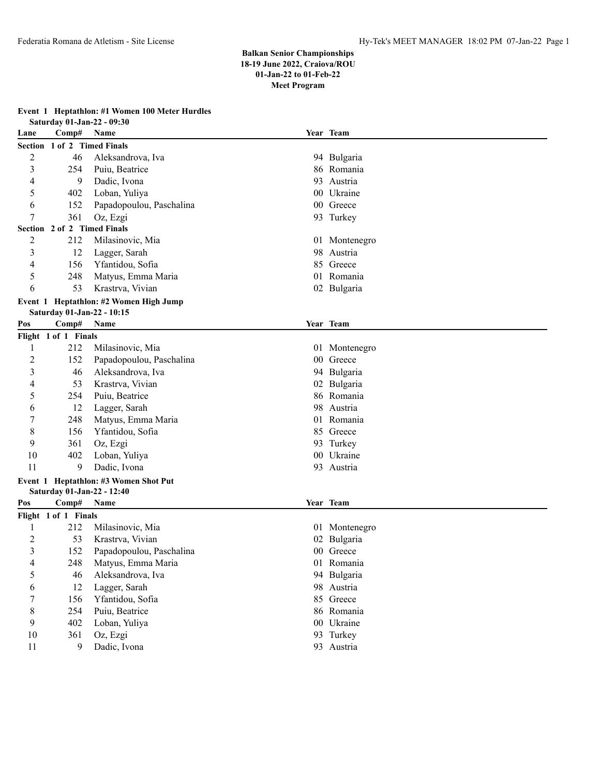**Event 1 Heptathlon: #1 Women 100 Meter Hurdles**

|                |                             | Saturday 01-Jan-22 - 09:30             |                 |               |
|----------------|-----------------------------|----------------------------------------|-----------------|---------------|
| Lane           | Comp#                       | Name                                   |                 | Year Team     |
|                | Section 1 of 2 Timed Finals |                                        |                 |               |
| $\overline{c}$ | 46                          | Aleksandrova, Iva                      |                 | 94 Bulgaria   |
| 3              | 254                         | Puiu, Beatrice                         |                 | 86 Romania    |
| 4              | 9                           | Dadic, Ivona                           |                 | 93 Austria    |
| 5              | 402                         | Loban, Yuliya                          |                 | 00 Ukraine    |
| 6              | 152                         | Papadopoulou, Paschalina               |                 | 00 Greece     |
| 7              | 361                         | Oz, Ezgi                               |                 | 93 Turkey     |
|                | Section 2 of 2 Timed Finals |                                        |                 |               |
| $\overline{2}$ | 212                         | Milasinovic, Mia                       |                 | 01 Montenegro |
| 3              | 12                          | Lagger, Sarah                          | 98              | Austria       |
| 4              | 156                         | Yfantidou, Sofia                       | 85              | Greece        |
| 5              | 248                         | Matyus, Emma Maria                     |                 | 01 Romania    |
| 6              | 53                          | Krastrva, Vivian                       |                 | 02 Bulgaria   |
|                |                             | Event 1 Heptathlon: #2 Women High Jump |                 |               |
|                |                             | Saturday 01-Jan-22 - 10:15             |                 |               |
| Pos            | Comp#                       | <b>Name</b>                            |                 | Year Team     |
|                | Flight 1 of 1 Finals        |                                        |                 |               |
| 1              | 212                         | Milasinovic, Mia                       |                 | 01 Montenegro |
| $\overline{c}$ | 152                         | Papadopoulou, Paschalina               | 00 <sup>°</sup> | Greece        |
| 3              | 46                          | Aleksandrova, Iva                      |                 | 94 Bulgaria   |
| 4              | 53                          | Krastrva, Vivian                       | 02              | Bulgaria      |
| 5              | 254                         | Puiu, Beatrice                         |                 | 86 Romania    |
| 6              | 12                          | Lagger, Sarah                          | 98              | Austria       |
| 7              | 248                         | Matyus, Emma Maria                     |                 | 01 Romania    |
| 8              | 156                         | Yfantidou, Sofia                       |                 | 85 Greece     |
| 9              | 361                         | Oz, Ezgi                               |                 | 93 Turkey     |
| 10             | 402                         | Loban, Yuliya                          | 00 <sup>°</sup> | Ukraine       |
| 11             | 9                           | Dadic, Ivona                           |                 | 93 Austria    |
|                |                             | Event 1 Heptathlon: #3 Women Shot Put  |                 |               |
|                |                             | Saturday 01-Jan-22 - 12:40             |                 |               |
| Pos            | Comp#                       | Name                                   |                 | Year Team     |
|                | Flight 1 of 1 Finals        |                                        |                 |               |
| 1              | 212                         | Milasinovic, Mia                       |                 | 01 Montenegro |
| $\overline{c}$ | 53                          | Krastrva, Vivian                       | 02              | Bulgaria      |
| 3              | 152                         | Papadopoulou, Paschalina               |                 | 00 Greece     |
| 4              | 248                         | Matyus, Emma Maria                     |                 | 01 Romania    |
| 5              | 46                          | Aleksandrova, Iva                      |                 | 94 Bulgaria   |
| 6              | 12                          | Lagger, Sarah                          |                 | 98 Austria    |
| 7              | 156                         | Yfantidou, Sofia                       |                 | 85 Greece     |
| $8\,$          | 254                         | Puiu, Beatrice                         |                 | 86 Romania    |
| 9              | 402                         | Loban, Yuliya                          |                 | 00 Ukraine    |
| 10             | 361                         | Oz, Ezgi                               |                 | 93 Turkey     |
| 11             | 9                           | Dadic, Ivona                           |                 | 93 Austria    |
|                |                             |                                        |                 |               |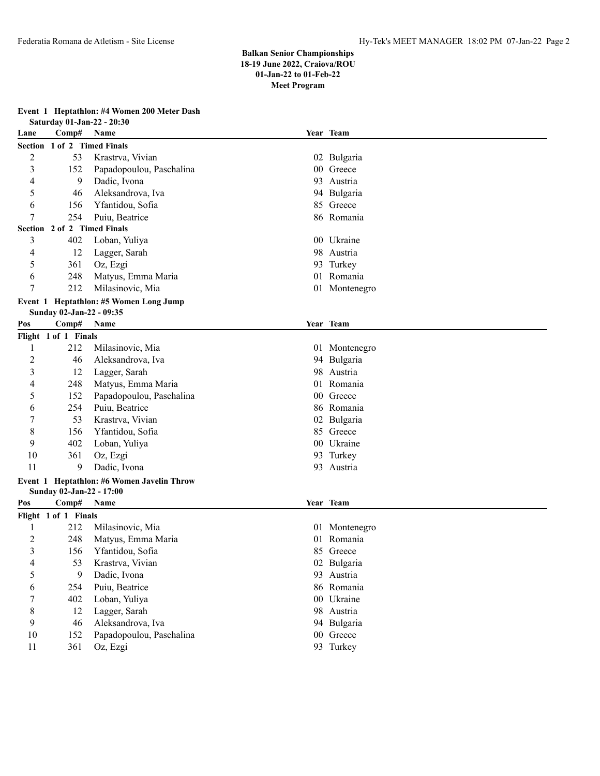## **Event 1 Heptathlon: #4 Women 200 Meter Dash**

|                |                          | Saturday 01-Jan-22 - 20:30             |                 |               |
|----------------|--------------------------|----------------------------------------|-----------------|---------------|
| Lane           | Comp#                    | Name                                   |                 | Year Team     |
|                |                          | Section 1 of 2 Timed Finals            |                 |               |
| $\overline{c}$ | 53                       | Krastrva, Vivian                       |                 | 02 Bulgaria   |
| 3              | 152                      | Papadopoulou, Paschalina               |                 | 00 Greece     |
| 4              | 9                        | Dadic, Ivona                           | 93              | Austria       |
| 5              | 46                       | Aleksandrova, Iva                      |                 | 94 Bulgaria   |
| 6              | 156                      | Yfantidou, Sofia                       |                 | 85 Greece     |
| 7              | 254                      | Puiu, Beatrice                         |                 | 86 Romania    |
|                |                          | Section 2 of 2 Timed Finals            |                 |               |
| 3              | 402                      | Loban, Yuliya                          |                 | 00 Ukraine    |
| 4              | 12                       | Lagger, Sarah                          |                 | 98 Austria    |
| 5              | 361                      | Oz, Ezgi                               |                 | 93 Turkey     |
| 6              | 248                      | Matyus, Emma Maria                     |                 | 01 Romania    |
| 7              | 212                      | Milasinovic, Mia                       |                 | 01 Montenegro |
|                |                          | Event 1 Heptathlon: #5 Women Long Jump |                 |               |
|                | Sunday 02-Jan-22 - 09:35 |                                        |                 |               |
| Pos            | Comp#                    | Name                                   |                 | Year Team     |
|                | Flight 1 of 1 Finals     |                                        |                 |               |
| 1              | 212                      | Milasinovic, Mia                       |                 | 01 Montenegro |
| $\overline{c}$ | 46                       | Aleksandrova, Iva                      |                 | 94 Bulgaria   |
| 3              | 12                       | Lagger, Sarah                          | 98              | Austria       |
| 4              | 248                      | Matyus, Emma Maria                     | 01              | Romania       |
| 5              | 152                      | Papadopoulou, Paschalina               | 00 <sup>°</sup> | Greece        |
| 6              | 254                      | Puiu, Beatrice                         |                 | 86 Romania    |
| 7              | 53                       | Krastrva, Vivian                       | 02              | Bulgaria      |
| 8              | 156                      | Yfantidou, Sofia                       |                 | 85 Greece     |
| 9              | 402                      | Loban, Yuliya                          |                 | 00 Ukraine    |
| 10             | 361                      | Oz, Ezgi                               |                 | 93 Turkey     |
| 11             | 9                        | Dadic, Ivona                           |                 | 93 Austria    |
| Event 1        |                          | Heptathlon: #6 Women Javelin Throw     |                 |               |
|                | Sunday 02-Jan-22 - 17:00 |                                        |                 |               |
| Pos            | Comp#                    | Name                                   |                 | Year Team     |
|                | Flight 1 of 1 Finals     |                                        |                 |               |
| 1              | 212                      | Milasinovic, Mia                       |                 | 01 Montenegro |
| $\overline{c}$ | 248                      | Matyus, Emma Maria                     | 01              | Romania       |
| 3              | 156                      | Yfantidou, Sofia                       |                 | 85 Greece     |
| 4              | 53                       | Krastrva, Vivian                       |                 | 02 Bulgaria   |
| 5              | 9                        | Dadic, Ivona                           |                 | 93 Austria    |
| 6              | 254                      | Puiu, Beatrice                         |                 | 86 Romania    |
| 7              | 402                      | Loban, Yuliya                          |                 | 00 Ukraine    |
| 8              | 12                       | Lagger, Sarah                          |                 | 98 Austria    |
| 9              | 46                       | Aleksandrova, Iva                      |                 | 94 Bulgaria   |
| 10             | 152                      | Papadopoulou, Paschalina               |                 | 00 Greece     |
| 11             | 361                      | Oz, Ezgi                               |                 | 93 Turkey     |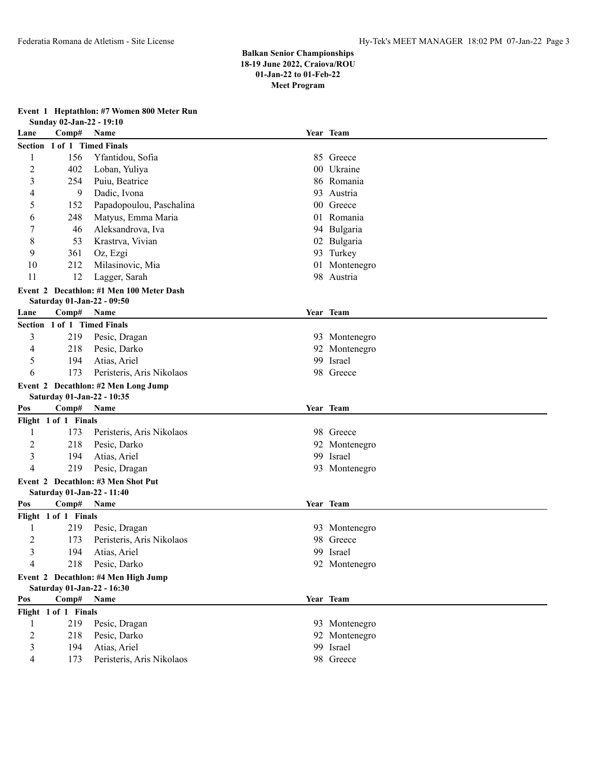|  | Event 1 Heptathlon: #7 Women 800 Meter Run |  |  |  |  |  |
|--|--------------------------------------------|--|--|--|--|--|
|--|--------------------------------------------|--|--|--|--|--|

|                         | Sunday 02-Jan-22 - 19:10    |                                          |    |               |
|-------------------------|-----------------------------|------------------------------------------|----|---------------|
| Lane                    | Comp#                       | Name                                     |    | Year Team     |
|                         | Section 1 of 1 Timed Finals |                                          |    |               |
| 1                       | 156                         | Yfantidou, Sofia                         |    | 85 Greece     |
| 2                       | 402                         | Loban, Yuliya                            |    | 00 Ukraine    |
| 3                       | 254                         | Puiu, Beatrice                           |    | 86 Romania    |
| 4                       | 9                           | Dadic, Ivona                             | 93 | Austria       |
| 5                       | 152                         | Papadopoulou, Paschalina                 |    | 00 Greece     |
| 6                       | 248                         | Matyus, Emma Maria                       |    | 01 Romania    |
| 7                       | 46                          | Aleksandrova, Iva                        |    | 94 Bulgaria   |
| 8                       | 53                          | Krastrva, Vivian                         |    | 02 Bulgaria   |
| 9                       | 361                         | Oz, Ezgi                                 |    | 93 Turkey     |
| 10                      | 212                         | Milasinovic, Mia                         |    | 01 Montenegro |
| 11                      | 12                          | Lagger, Sarah                            |    | 98 Austria    |
|                         |                             | Event 2 Decathlon: #1 Men 100 Meter Dash |    |               |
|                         | Saturday 01-Jan-22 - 09:50  |                                          |    |               |
| Lane                    | Comp#                       | <b>Name</b>                              |    | Year Team     |
|                         | Section 1 of 1 Timed Finals |                                          |    |               |
| 3                       | 219                         | Pesic, Dragan                            |    | 93 Montenegro |
| 4                       | 218                         | Pesic, Darko                             | 92 | Montenegro    |
| 5                       | 194                         | Atias, Ariel                             | 99 | Israel        |
| 6                       | 173                         | Peristeris, Aris Nikolaos                |    | 98 Greece     |
|                         |                             | Event 2 Decathlon: #2 Men Long Jump      |    |               |
|                         | Saturday 01-Jan-22 - 10:35  |                                          |    |               |
| Pos                     | Comp#                       | Name                                     |    | Year Team     |
|                         | Flight 1 of 1 Finals        |                                          |    |               |
| 1                       | 173                         | Peristeris, Aris Nikolaos                |    | 98 Greece     |
| 2                       | 218                         | Pesic, Darko                             |    | 92 Montenegro |
| 3                       | 194                         | Atias, Ariel                             |    | 99 Israel     |
| 4                       | 219                         | Pesic, Dragan                            |    | 93 Montenegro |
|                         |                             | Event 2 Decathlon: #3 Men Shot Put       |    |               |
|                         | Saturday 01-Jan-22 - 11:40  |                                          |    |               |
| Pos                     | Comp#                       | Name                                     |    | Year Team     |
|                         | Flight 1 of 1 Finals        |                                          |    |               |
| 1                       | 219                         | Pesic, Dragan                            |    | 93 Montenegro |
| $\overline{\mathbf{c}}$ | 173                         | Peristeris, Aris Nikolaos                | 98 | Greece        |
| 3                       | 194                         | Atias, Ariel                             |    | 99 Israel     |
| 4                       | 218                         | Pesic, Darko                             |    | 92 Montenegro |
|                         |                             | Event 2 Decathlon: #4 Men High Jump      |    |               |
|                         | Saturday 01-Jan-22 - 16:30  |                                          |    |               |
| Pos                     | Comp#                       | Name                                     |    | Year Team     |
|                         | Flight 1 of 1 Finals        |                                          |    |               |
| 1                       | 219                         | Pesic, Dragan                            |    | 93 Montenegro |
| $\overline{c}$          | 218                         | Pesic, Darko                             |    | 92 Montenegro |
| 3                       | 194                         | Atias, Ariel                             |    | 99 Israel     |
| 4                       | 173                         | Peristeris, Aris Nikolaos                |    | 98 Greece     |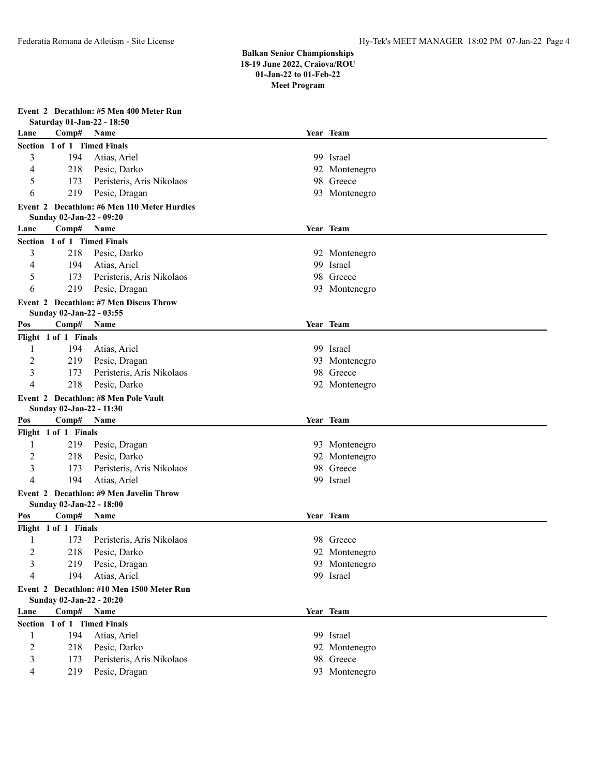**Event 2 Decathlon: #5 Men 400 Meter Run**

|                |                          | Saturday 01-Jan-22 - 18:50                    |               |
|----------------|--------------------------|-----------------------------------------------|---------------|
| Lane           | Comp#                    | Name                                          | Year Team     |
|                |                          | Section 1 of 1 Timed Finals                   |               |
| 3              | 194                      | Atias, Ariel                                  | 99 Israel     |
| 4              | 218                      | Pesic, Darko                                  | 92 Montenegro |
| 5              | 173                      | Peristeris, Aris Nikolaos                     | 98 Greece     |
| 6              | 219                      | Pesic, Dragan                                 | 93 Montenegro |
|                |                          | Event 2 Decathlon: #6 Men 110 Meter Hurdles   |               |
|                | Sunday 02-Jan-22 - 09:20 |                                               |               |
| Lane           | Comp#                    | Name                                          | Year Team     |
|                |                          | Section 1 of 1 Timed Finals                   |               |
| 3              | 218                      | Pesic, Darko                                  | 92 Montenegro |
| 4              | 194                      | Atias, Ariel                                  | 99 Israel     |
| 5              | 173                      | Peristeris, Aris Nikolaos                     | 98 Greece     |
| 6              | 219                      | Pesic, Dragan                                 | 93 Montenegro |
|                |                          | <b>Event 2 Decathlon: #7 Men Discus Throw</b> |               |
|                | Sunday 02-Jan-22 - 03:55 |                                               |               |
| Pos            | Comp#                    | <b>Name</b>                                   | Year Team     |
|                | Flight 1 of 1 Finals     |                                               |               |
| 1              | 194                      | Atias, Ariel                                  | 99 Israel     |
| 2              | 219                      | Pesic, Dragan                                 | 93 Montenegro |
| 3              | 173                      | Peristeris, Aris Nikolaos                     | 98 Greece     |
| 4              | 218                      | Pesic, Darko                                  | 92 Montenegro |
|                |                          | Event 2 Decathlon: #8 Men Pole Vault          |               |
|                | Sunday 02-Jan-22 - 11:30 |                                               |               |
| Pos            | Comp#                    | Name                                          | Year Team     |
|                | Flight 1 of 1 Finals     |                                               |               |
| 1              | 219                      | Pesic, Dragan                                 | 93 Montenegro |
| 2              | 218                      | Pesic, Darko                                  | 92 Montenegro |
| 3              | 173                      | Peristeris, Aris Nikolaos                     | 98 Greece     |
| 4              | 194                      | Atias, Ariel                                  | 99 Israel     |
|                |                          | Event 2 Decathlon: #9 Men Javelin Throw       |               |
|                | Sunday 02-Jan-22 - 18:00 |                                               |               |
| Pos            | Comp#                    | Name                                          | Year Team     |
|                | Flight 1 of 1 Finals     |                                               |               |
| 1              | 173                      | Peristeris, Aris Nikolaos                     | 98 Greece     |
| $\overline{c}$ | 218                      | Pesic, Darko                                  | 92 Montenegro |
| 3              | 219                      | Pesic, Dragan                                 | 93 Montenegro |
| 4              | 194                      | Atias, Ariel                                  | 99 Israel     |
|                |                          | Event 2 Decathlon: #10 Men 1500 Meter Run     |               |
|                | Sunday 02-Jan-22 - 20:20 |                                               |               |
| Lane           | Comp# Name               |                                               | Year Team     |
|                |                          | Section 1 of 1 Timed Finals                   |               |
| 1              | 194                      | Atias, Ariel                                  | 99 Israel     |
| $\overline{2}$ | 218                      | Pesic, Darko                                  | 92 Montenegro |
| 3              | 173                      | Peristeris, Aris Nikolaos                     | 98 Greece     |
| 4              | 219                      | Pesic, Dragan                                 | 93 Montenegro |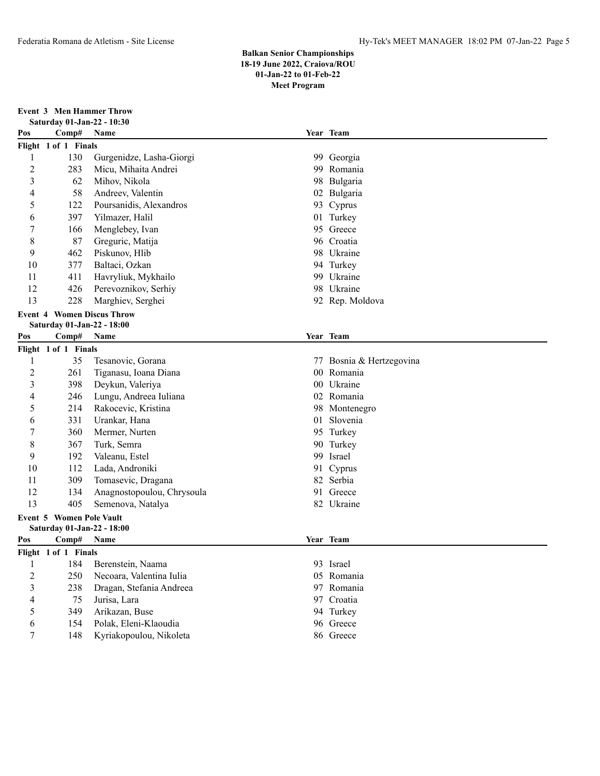**Event 3 Men Hammer Throw Saturday 01-Jan-22 - 10:30**

| Year Team<br>Comp#<br>Pos<br>Name<br>Flight 1 of 1 Finals<br>Gurgenidze, Lasha-Giorgi<br>130<br>99 Georgia<br>1<br>$\overline{2}$<br>283<br>Micu, Mihaita Andrei<br>99 Romania<br>3<br>62<br>Mihov, Nikola<br>98<br>Bulgaria<br>58<br>Andreev, Valentin<br>02 Bulgaria<br>4<br>5<br>122<br>Poursanidis, Alexandros<br>93 Cyprus<br>397<br>Yilmazer, Halil<br>6<br>01 Turkey<br>7<br>166<br>Menglebey, Ivan<br>95 Greece<br>8<br>87<br>Greguric, Matija<br>96 Croatia<br>9<br>462<br>Piskunov, Hlib<br>98 Ukraine<br>377<br>10<br>Baltaci, Ozkan<br>94 Turkey<br>411<br>11<br>Havryliuk, Mykhailo<br>99 Ukraine<br>12<br>426<br>Perevoznikov, Serhiy<br>98 Ukraine<br>13<br>228<br>Marghiev, Serghei<br>92 Rep. Moldova<br><b>Event 4 Women Discus Throw</b><br>Saturday 01-Jan-22 - 18:00<br>Year Team<br>Pos<br>Comp#<br>Name |  |
|--------------------------------------------------------------------------------------------------------------------------------------------------------------------------------------------------------------------------------------------------------------------------------------------------------------------------------------------------------------------------------------------------------------------------------------------------------------------------------------------------------------------------------------------------------------------------------------------------------------------------------------------------------------------------------------------------------------------------------------------------------------------------------------------------------------------------------|--|
|                                                                                                                                                                                                                                                                                                                                                                                                                                                                                                                                                                                                                                                                                                                                                                                                                                |  |
|                                                                                                                                                                                                                                                                                                                                                                                                                                                                                                                                                                                                                                                                                                                                                                                                                                |  |
|                                                                                                                                                                                                                                                                                                                                                                                                                                                                                                                                                                                                                                                                                                                                                                                                                                |  |
|                                                                                                                                                                                                                                                                                                                                                                                                                                                                                                                                                                                                                                                                                                                                                                                                                                |  |
|                                                                                                                                                                                                                                                                                                                                                                                                                                                                                                                                                                                                                                                                                                                                                                                                                                |  |
|                                                                                                                                                                                                                                                                                                                                                                                                                                                                                                                                                                                                                                                                                                                                                                                                                                |  |
|                                                                                                                                                                                                                                                                                                                                                                                                                                                                                                                                                                                                                                                                                                                                                                                                                                |  |
|                                                                                                                                                                                                                                                                                                                                                                                                                                                                                                                                                                                                                                                                                                                                                                                                                                |  |
|                                                                                                                                                                                                                                                                                                                                                                                                                                                                                                                                                                                                                                                                                                                                                                                                                                |  |
|                                                                                                                                                                                                                                                                                                                                                                                                                                                                                                                                                                                                                                                                                                                                                                                                                                |  |
|                                                                                                                                                                                                                                                                                                                                                                                                                                                                                                                                                                                                                                                                                                                                                                                                                                |  |
|                                                                                                                                                                                                                                                                                                                                                                                                                                                                                                                                                                                                                                                                                                                                                                                                                                |  |
|                                                                                                                                                                                                                                                                                                                                                                                                                                                                                                                                                                                                                                                                                                                                                                                                                                |  |
|                                                                                                                                                                                                                                                                                                                                                                                                                                                                                                                                                                                                                                                                                                                                                                                                                                |  |
|                                                                                                                                                                                                                                                                                                                                                                                                                                                                                                                                                                                                                                                                                                                                                                                                                                |  |
|                                                                                                                                                                                                                                                                                                                                                                                                                                                                                                                                                                                                                                                                                                                                                                                                                                |  |
|                                                                                                                                                                                                                                                                                                                                                                                                                                                                                                                                                                                                                                                                                                                                                                                                                                |  |
| Flight 1 of 1 Finals                                                                                                                                                                                                                                                                                                                                                                                                                                                                                                                                                                                                                                                                                                                                                                                                           |  |
| 35<br>1<br>Tesanovic, Gorana<br>77 Bosnia & Hertzegovina                                                                                                                                                                                                                                                                                                                                                                                                                                                                                                                                                                                                                                                                                                                                                                       |  |
| $\overline{c}$<br>Romania<br>261<br>Tiganasu, Ioana Diana<br>00 <sup>°</sup>                                                                                                                                                                                                                                                                                                                                                                                                                                                                                                                                                                                                                                                                                                                                                   |  |
| 3<br>398<br>Deykun, Valeriya<br>00 Ukraine                                                                                                                                                                                                                                                                                                                                                                                                                                                                                                                                                                                                                                                                                                                                                                                     |  |
| 246<br>Lungu, Andreea Iuliana<br>02 Romania<br>4                                                                                                                                                                                                                                                                                                                                                                                                                                                                                                                                                                                                                                                                                                                                                                               |  |
| 5<br>214<br>Rakocevic, Kristina<br>98 Montenegro                                                                                                                                                                                                                                                                                                                                                                                                                                                                                                                                                                                                                                                                                                                                                                               |  |
| 331<br>01 Slovenia<br>Urankar, Hana<br>6                                                                                                                                                                                                                                                                                                                                                                                                                                                                                                                                                                                                                                                                                                                                                                                       |  |
| 7<br>360<br>Mermer, Nurten<br>95 Turkey                                                                                                                                                                                                                                                                                                                                                                                                                                                                                                                                                                                                                                                                                                                                                                                        |  |
| 8<br>Turk, Semra<br>367<br>90 Turkey                                                                                                                                                                                                                                                                                                                                                                                                                                                                                                                                                                                                                                                                                                                                                                                           |  |
| 9<br>192<br>99 Israel<br>Valeanu, Estel                                                                                                                                                                                                                                                                                                                                                                                                                                                                                                                                                                                                                                                                                                                                                                                        |  |
| 10<br>112<br>Lada, Androniki<br>91 Cyprus                                                                                                                                                                                                                                                                                                                                                                                                                                                                                                                                                                                                                                                                                                                                                                                      |  |
| 309<br>82 Serbia<br>11<br>Tomasevic, Dragana                                                                                                                                                                                                                                                                                                                                                                                                                                                                                                                                                                                                                                                                                                                                                                                   |  |
| 12<br>134<br>Anagnostopoulou, Chrysoula<br>91 Greece                                                                                                                                                                                                                                                                                                                                                                                                                                                                                                                                                                                                                                                                                                                                                                           |  |
| 13<br>405<br>82 Ukraine<br>Semenova, Natalya                                                                                                                                                                                                                                                                                                                                                                                                                                                                                                                                                                                                                                                                                                                                                                                   |  |
| <b>Event 5 Women Pole Vault</b>                                                                                                                                                                                                                                                                                                                                                                                                                                                                                                                                                                                                                                                                                                                                                                                                |  |
| Saturday 01-Jan-22 - 18:00<br>Year Team<br>Pos<br><b>Name</b>                                                                                                                                                                                                                                                                                                                                                                                                                                                                                                                                                                                                                                                                                                                                                                  |  |
| $\bf Comp\#$                                                                                                                                                                                                                                                                                                                                                                                                                                                                                                                                                                                                                                                                                                                                                                                                                   |  |
| Flight 1 of 1 Finals<br>93 Israel<br>Berenstein, Naama                                                                                                                                                                                                                                                                                                                                                                                                                                                                                                                                                                                                                                                                                                                                                                         |  |
| 184<br>$\mathbf{I}$<br>$\overline{c}$<br>250<br>Necoara, Valentina Iulia<br>05 Romania                                                                                                                                                                                                                                                                                                                                                                                                                                                                                                                                                                                                                                                                                                                                         |  |
| 3<br>238<br>97 Romania<br>Dragan, Stefania Andreea                                                                                                                                                                                                                                                                                                                                                                                                                                                                                                                                                                                                                                                                                                                                                                             |  |
| 97 Croatia<br>75<br>Jurisa, Lara<br>4                                                                                                                                                                                                                                                                                                                                                                                                                                                                                                                                                                                                                                                                                                                                                                                          |  |
| 349<br>94 Turkey<br>5<br>Arikazan, Buse                                                                                                                                                                                                                                                                                                                                                                                                                                                                                                                                                                                                                                                                                                                                                                                        |  |
| 154<br>Polak, Eleni-Klaoudia<br>96 Greece<br>6                                                                                                                                                                                                                                                                                                                                                                                                                                                                                                                                                                                                                                                                                                                                                                                 |  |
| $\tau$<br>148<br>Kyriakopoulou, Nikoleta<br>86 Greece                                                                                                                                                                                                                                                                                                                                                                                                                                                                                                                                                                                                                                                                                                                                                                          |  |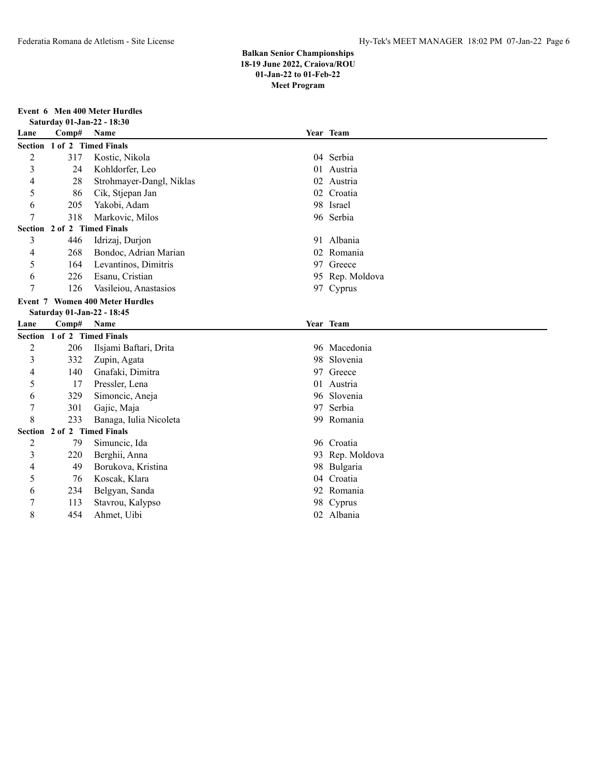# **Event 6 Men 400 Meter Hurdles**

|                |                             | Saturday 01-Jan-22 - 18:30             |    |                         |
|----------------|-----------------------------|----------------------------------------|----|-------------------------|
| Lane           | Comp#                       | Name                                   |    | Year Team               |
|                | Section 1 of 2 Timed Finals |                                        |    |                         |
| $\overline{2}$ | 317                         | Kostic, Nikola                         |    | 04 Serbia               |
| 3              | 24                          | Kohldorfer, Leo                        |    | 01 Austria              |
| 4              | 28                          | Strohmayer-Dangl, Niklas               | 02 | Austria                 |
| 5              | 86                          | Cik, Stjepan Jan                       |    | 02 Croatia              |
| 6              | 205                         | Yakobi, Adam                           |    | 98 Israel               |
| 7              | 318                         | Markovic, Milos                        |    | 96 Serbia               |
|                | Section 2 of 2 Timed Finals |                                        |    |                         |
| 3              | 446                         | Idrizaj, Durjon                        |    | 91 Albania              |
| 4              | 268                         | Bondoc, Adrian Marian                  |    | 02 Romania              |
| 5              | 164                         | Levantinos, Dimitris                   |    | 97 Greece               |
| 6              | 226                         | Esanu, Cristian                        |    | 95 Rep. Moldova         |
| 7              | 126                         | Vasileiou, Anastasios                  |    | 97 Cyprus               |
|                |                             | <b>Event 7 Women 400 Meter Hurdles</b> |    |                         |
|                | Saturday 01-Jan-22 - 18:45  |                                        |    |                         |
|                |                             |                                        |    |                         |
| Lane           | Comp#                       | Name                                   |    | Year Team               |
|                | Section 1 of 2 Timed Finals |                                        |    |                         |
| 2              | 206                         | Ilsjami Baftari, Drita                 |    | 96 Macedonia            |
| 3              | 332                         | Zupin, Agata                           | 98 | Slovenia                |
| 4              | 140                         | Gnafaki, Dimitra                       |    | 97 Greece               |
| 5              | 17                          | Pressler, Lena                         | 01 | Austria                 |
| 6              | 329                         | Simoncic, Aneja                        |    | 96 Slovenia             |
| 7              | 301                         | Gajic, Maja                            | 97 | Serbia                  |
| 8              | 233                         | Banaga, Iulia Nicoleta                 | 99 | Romania                 |
|                | Section 2 of 2 Timed Finals |                                        |    |                         |
| $\overline{c}$ | 79                          | Simuncic, Ida                          |    | 96 Croatia              |
| 3              | 220                         | Berghii, Anna                          |    | 93 Rep. Moldova         |
| 4              | 49                          | Borukova, Kristina                     | 98 | Bulgaria                |
| 5              | 76                          | Koscak, Klara                          | 04 | Croatia                 |
| 6              | 234                         | Belgyan, Sanda                         |    | 92 Romania              |
| 7<br>8         | 113<br>454                  | Stavrou, Kalypso<br>Ahmet, Uibi        |    | 98 Cyprus<br>02 Albania |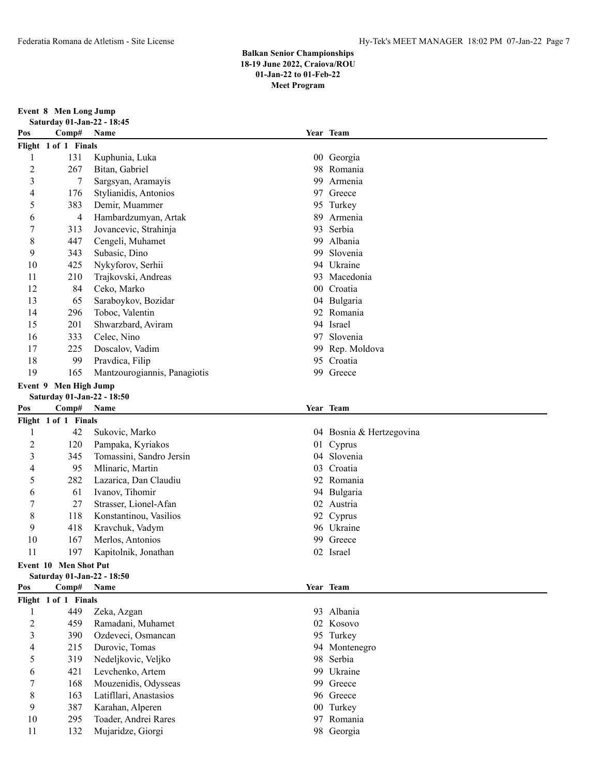**Event 8 Men Long Jump**

|                | Saturday 01-Jan-22 - 18:45 |                              |     |                          |
|----------------|----------------------------|------------------------------|-----|--------------------------|
| Pos            | Comp#                      | Name                         |     | Year Team                |
|                | Flight 1 of 1 Finals       |                              |     |                          |
| 1              | 131                        | Kuphunia, Luka               |     | 00 Georgia               |
| $\overline{c}$ | 267                        | Bitan, Gabriel               | 98  | Romania                  |
| 3              | 7                          | Sargsyan, Aramayis           | 99  | Armenia                  |
| 4              | 176                        | Stylianidis, Antonios        |     | 97 Greece                |
| 5              | 383                        | Demir, Muammer               |     | 95 Turkey                |
| 6              | 4                          | Hambardzumyan, Artak         | 89  | Armenia                  |
| 7              | 313                        | Jovancevic, Strahinja        | 93  | Serbia                   |
| 8              | 447                        | Cengeli, Muhamet             | 99  | Albania                  |
| 9              | 343                        | Subasic, Dino                | 99  | Slovenia                 |
| 10             | 425                        | Nykyforov, Serhii            |     | 94 Ukraine               |
| 11             | 210                        | Trajkovski, Andreas          | 93. | Macedonia                |
| 12             | 84                         | Ceko, Marko                  |     | 00 Croatia               |
| 13             | 65                         | Saraboykov, Bozidar          |     | 04 Bulgaria              |
| 14             | 296                        | Toboc, Valentin              |     | 92 Romania               |
| 15             | 201                        | Shwarzbard, Aviram           |     | 94 Israel                |
| 16             | 333                        | Celec, Nino                  | 97  | Slovenia                 |
| 17             | 225                        | Doscalov, Vadim              | 99  | Rep. Moldova             |
| 18             | 99                         | Pravdica, Filip              |     | 95 Croatia               |
| 19             | 165                        | Mantzourogiannis, Panagiotis |     | 99 Greece                |
|                | Event 9 Men High Jump      |                              |     |                          |
|                | Saturday 01-Jan-22 - 18:50 |                              |     |                          |
| Pos            | Comp#                      | Name                         |     | Year Team                |
|                | Flight 1 of 1 Finals       |                              |     |                          |
| 1              | 42                         | Sukovic, Marko               |     | 04 Bosnia & Hertzegovina |
| 2              | 120                        | Pampaka, Kyriakos            |     | 01 Cyprus                |
| 3              | 345                        | Tomassini, Sandro Jersin     |     | 04 Slovenia              |
| 4              | 95                         | Mlinaric, Martin             |     | 03 Croatia               |
| 5              | 282                        | Lazarica, Dan Claudiu        |     | 92 Romania               |
| 6              | 61                         | Ivanov, Tihomir              |     | 94 Bulgaria              |
| 7              | 27                         | Strasser, Lionel-Afan        |     | 02 Austria               |
| 8              | 118                        | Konstantinou, Vasilios       |     | 92 Cyprus                |
| 9              | 418                        | Kravchuk, Vadym              |     | 96 Ukraine               |
| 10             | 167                        | Merlos, Antonios             | 99  | Greece                   |
| 11             | 197                        | Kapitolnik, Jonathan         |     | 02 Israel                |
|                | Event 10 Men Shot Put      |                              |     |                          |
|                | Saturday 01-Jan-22 - 18:50 |                              |     |                          |
| Pos            | Comp#                      | Name                         |     | Year Team                |
|                | Flight 1 of 1 Finals       |                              |     |                          |
| 1              | 449                        | Zeka, Azgan                  |     | 93 Albania               |
| $\overline{c}$ | 459                        | Ramadani, Muhamet            |     | 02 Kosovo                |
| 3              | 390                        | Ozdeveci, Osmancan           |     | 95 Turkey                |
| 4              | 215                        | Durovic, Tomas               |     | 94 Montenegro            |
| 5              | 319                        | Nedeljkovic, Veljko          | 98  | Serbia                   |
| 6              | 421                        | Levchenko, Artem             | 99  | Ukraine                  |
| 7              | 168                        | Mouzenidis, Odysseas         |     | 99 Greece                |
| 8              | 163                        | Latifllari, Anastasios       |     | 96 Greece                |
| 9              | 387                        | Karahan, Alperen             |     | 00 Turkey                |
| 10             | 295                        | Toader, Andrei Rares         |     | 97 Romania               |
| 11             |                            |                              |     |                          |
|                | 132                        | Mujaridze, Giorgi            |     | 98 Georgia               |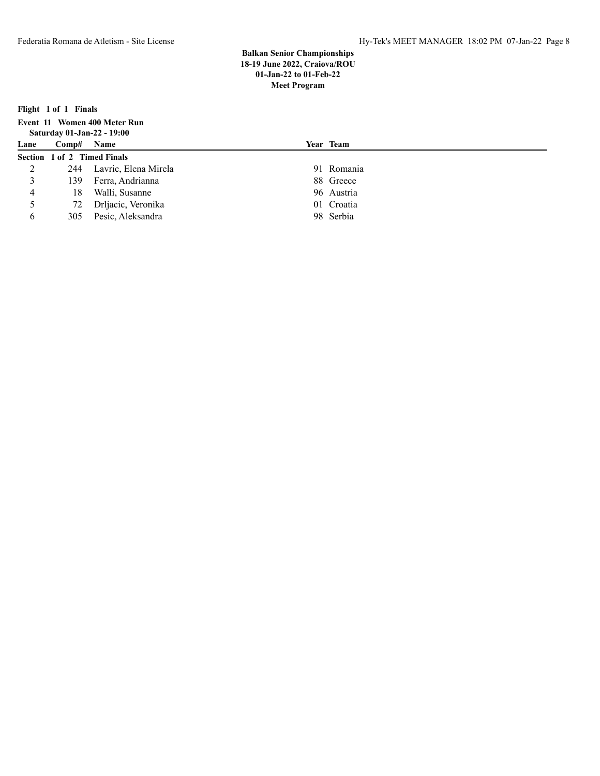**Year Team** 

**Flight 1 of 1 Finals**

| Event 11 Women 400 Meter Run |  |
|------------------------------|--|
| Saturday 01-Jan-22 - 19:00   |  |
| Lane Comp# Name              |  |
| Section 1 of 2. Timed Einels |  |

|               | Section 1 of 2 Timed Finals |                          |            |
|---------------|-----------------------------|--------------------------|------------|
|               |                             | 244 Lavric, Elena Mirela | 91 Romania |
| 3             | 139.                        | Ferra, Andrianna         | 88 Greece  |
|               | 18                          | Walli, Susanne           | 96 Austria |
| $\mathcal{L}$ |                             | 72 Drljacic, Veronika    | 01 Croatia |
| 6             | 305                         | Pesic, Aleksandra        | 98 Serbia  |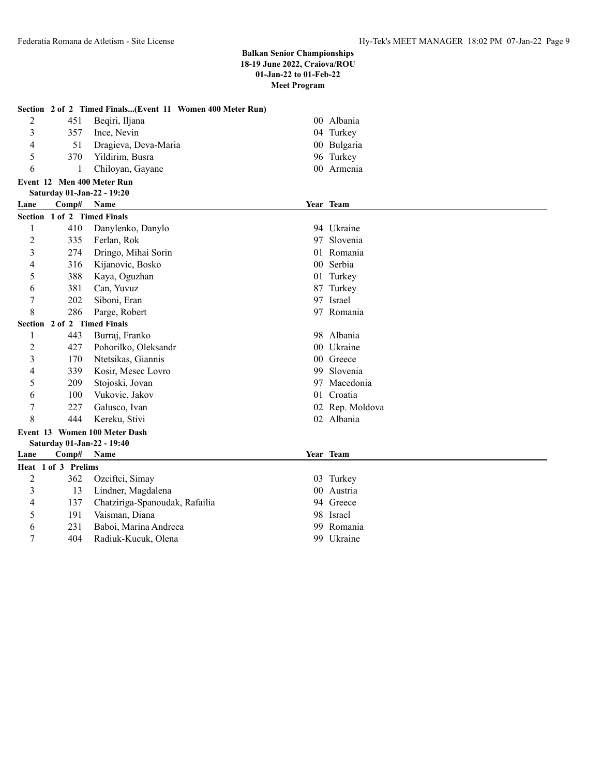|                |                     | Section 2 of 2 Timed Finals(Event 11 Women 400 Meter Run) |    |                 |
|----------------|---------------------|-----------------------------------------------------------|----|-----------------|
| 2              | 451                 | Beqiri, Iljana                                            |    | 00 Albania      |
| 3              | 357                 | Ince, Nevin                                               |    | 04 Turkey       |
| 4              | 51                  | Dragieva, Deva-Maria                                      |    | 00 Bulgaria     |
| 5              | 370                 | Yildirim, Busra                                           |    | 96 Turkey       |
| 6              | 1                   | Chiloyan, Gayane                                          |    | 00 Armenia      |
|                |                     | Event 12 Men 400 Meter Run                                |    |                 |
|                |                     | Saturday 01-Jan-22 - 19:20                                |    |                 |
| Lane           | Comp#               | <b>Name</b>                                               |    | Year Team       |
|                |                     | Section 1 of 2 Timed Finals                               |    |                 |
| 1              | 410                 | Danylenko, Danylo                                         |    | 94 Ukraine      |
| $\overline{c}$ | 335                 | Ferlan, Rok                                               |    | 97 Slovenia     |
| 3              | 274                 | Dringo, Mihai Sorin                                       | 01 | Romania         |
| 4              | 316                 | Kijanovic, Bosko                                          |    | 00 Serbia       |
| 5              | 388                 | Kaya, Oguzhan                                             |    | 01 Turkey       |
| 6              | 381                 | Can, Yuvuz                                                |    | 87 Turkey       |
| 7              | 202                 | Siboni, Eran                                              |    | 97 Israel       |
| 8              | 286                 | Parge, Robert                                             |    | 97 Romania      |
|                |                     | Section 2 of 2 Timed Finals                               |    |                 |
| 1              | 443                 | Burraj, Franko                                            |    | 98 Albania      |
| 2              | 427                 | Pohorilko, Oleksandr                                      |    | 00 Ukraine      |
| 3              | 170                 | Ntetsikas, Giannis                                        |    | 00 Greece       |
| 4              | 339                 | Kosir, Mesec Lovro                                        | 99 | Slovenia        |
| 5              | 209                 | Stojoski, Jovan                                           |    | 97 Macedonia    |
| 6              | 100                 | Vukovic, Jakov                                            |    | 01 Croatia      |
| 7              | 227                 | Galusco, Ivan                                             |    | 02 Rep. Moldova |
| 8              | 444                 | Kereku, Stivi                                             |    | 02 Albania      |
|                |                     | Event 13 Women 100 Meter Dash                             |    |                 |
|                |                     | Saturday 01-Jan-22 - 19:40                                |    |                 |
| Lane           | Comp#               | Name                                                      |    | Year Team       |
|                | Heat 1 of 3 Prelims |                                                           |    |                 |
| $\overline{c}$ | 362                 | Ozciftci, Simay                                           |    | 03 Turkey       |
| 3              | 13                  | Lindner, Magdalena                                        |    | 00 Austria      |
| 4              | 137                 | Chatziriga-Spanoudak, Rafailia                            |    | 94 Greece       |
| 5              | 191                 | Vaisman, Diana                                            |    | 98 Israel       |
| 6              | 231                 | Baboi, Marina Andreea                                     | 99 | Romania         |
| $\overline{7}$ | 404                 | Radiuk-Kucuk, Olena                                       |    | 99 Ukraine      |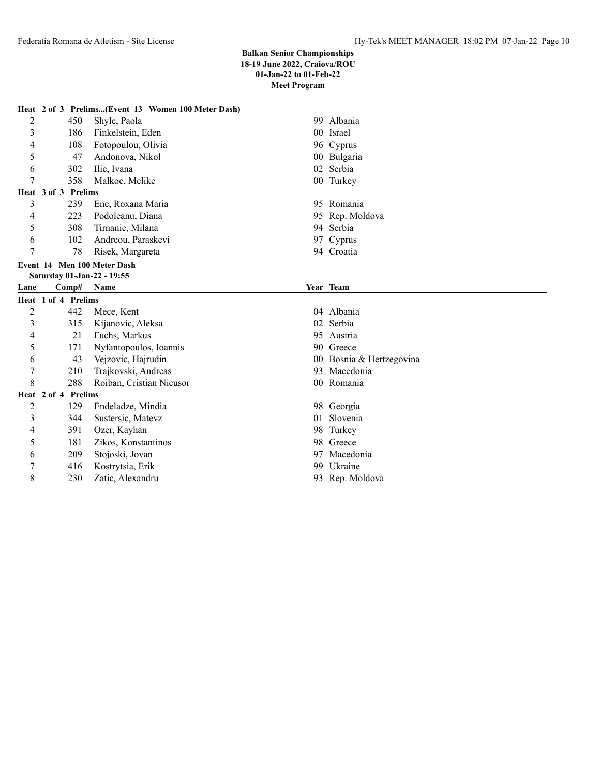|      |                             | Heat 2 of 3 Prelims(Event 13 Women 100 Meter Dash) |                          |
|------|-----------------------------|----------------------------------------------------|--------------------------|
| 2    | 450                         | Shyle, Paola                                       | 99 Albania               |
| 3    | 186                         | Finkelstein, Eden                                  | 00 Israel                |
| 4    | 108                         | Fotopoulou, Olivia                                 | 96 Cyprus                |
| 5    | 47                          | Andonova, Nikol                                    | 00 Bulgaria              |
| 6    | 302                         | Ilic, Ivana                                        | 02 Serbia                |
| 7    | 358                         | Malkoc, Melike                                     | 00 Turkey                |
|      | Heat 3 of 3 Prelims         |                                                    |                          |
| 3    | 239                         | Ene, Roxana Maria                                  | 95 Romania               |
| 4    | 223                         | Podoleanu, Diana                                   | 95 Rep. Moldova          |
| 5    | 308                         | Tirnanic, Milana                                   | 94 Serbia                |
| 6    | 102                         | Andreou, Paraskevi                                 | 97 Cyprus                |
| 7    | 78                          | Risek, Margareta                                   | 94 Croatia               |
|      | Event 14 Men 100 Meter Dash |                                                    |                          |
|      | Saturday 01-Jan-22 - 19:55  |                                                    |                          |
| Lane | $\bf Comp#$                 | <b>Name</b>                                        | Year Team                |
|      | Heat 1 of 4 Prelims         |                                                    |                          |
| 2    | 442                         | Mece, Kent                                         | 04 Albania               |
| 3    | 315                         | Kijanovic, Aleksa                                  | 02 Serbia                |
| 4    | 21                          | Fuchs, Markus                                      | 95 Austria               |
| 5    | 171                         | Nyfantopoulos, Ioannis                             | 90 Greece                |
| 6    | 43                          | Vejzovic, Hajrudin                                 | 00 Bosnia & Hertzegovina |
| 7    | 210                         | Trajkovski, Andreas                                | 93 Macedonia             |
| 8    | 288                         | Roiban, Cristian Nicusor                           | 00 Romania               |
|      | Heat 2 of 4 Prelims         |                                                    |                          |

# **Heat 2 of 4 Prelims**

| 2      | 129 | Endeladze, Mind  |
|--------|-----|------------------|
| 3      | 344 | Sustersic, Matev |
| 4      | 391 | Ozer, Kayhan     |
| $\sim$ | 181 | Zikos, Konstanti |
| 6      | 209 | Stojoski, Jovan  |
| 7      | 416 | Kostrytsia, Erik |
| Q      | 230 | Zatic, Alexandru |
|        |     |                  |

- dia 2002 endea 1298 Georgia
- z 344 Slovenia
	- 98 Turkey
- 5 181 Sinos 98 Greece
	- 97 Macedonia
	- 99 Ukraine
	- 93 Rep. Moldova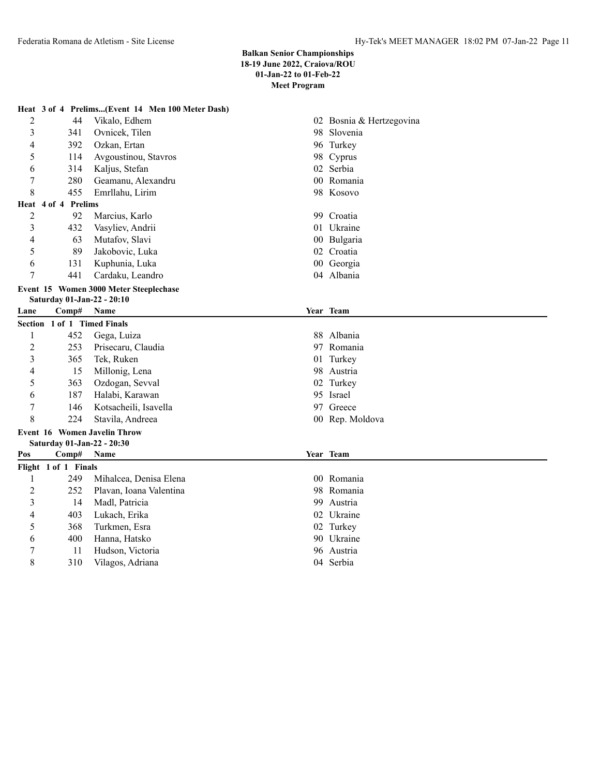|      |                             | Heat 3 of 4 Prelims(Event 14 Men 100 Meter Dash) |                          |
|------|-----------------------------|--------------------------------------------------|--------------------------|
| 2    | 44                          | Vikalo, Edhem                                    | 02 Bosnia & Hertzegovina |
| 3    | 341                         | Ovnicek, Tilen                                   | 98 Slovenia              |
| 4    | 392                         | Ozkan, Ertan                                     | 96 Turkey                |
| 5    | 114                         | Avgoustinou, Stavros                             | 98 Cyprus                |
| 6    | 314                         | Kaljus, Stefan                                   | 02 Serbia                |
| 7    | 280                         | Geamanu, Alexandru                               | 00 Romania               |
| 8    | 455                         | Emrllahu, Lirim                                  | 98 Kosovo                |
|      | Heat 4 of 4 Prelims         |                                                  |                          |
| 2    | 92                          | Marcius, Karlo                                   | 99 Croatia               |
| 3    | 432                         | Vasyliev, Andrii                                 | 01 Ukraine               |
| 4    | 63                          | Mutafov, Slavi                                   | 00 Bulgaria              |
| 5    | 89                          | Jakobovic, Luka                                  | 02 Croatia               |
| 6    | 131                         | Kuphunia, Luka                                   | 00 Georgia               |
| 7    | 441                         | Cardaku, Leandro                                 | 04 Albania               |
|      |                             | Event 15 Women 3000 Meter Steeplechase           |                          |
|      | Saturday 01-Jan-22 - 20:10  |                                                  |                          |
| Lane | Comp#                       | Name                                             | Year Team                |
|      | Section 1 of 1 Timed Finals |                                                  |                          |
| 1    | 452                         | Gega, Luiza                                      | 88 Albania               |
| 2    | 253                         | Prisecaru, Claudia                               | 97 Romania               |
| 3    | 365                         | Tek, Ruken                                       | 01 Turkey                |
| 4    | 15                          | Millonig, Lena                                   | 98 Austria               |
| 5    | 363                         | Ozdogan, Sevval                                  | 02 Turkey                |
| 6    | 187                         | Halabi, Karawan                                  | 95 Israel                |
| 7    | 146                         | Kotsacheili, Isavella                            | 97 Greece                |
| 8    | 224                         | Stavila, Andreea                                 | 00 Rep. Moldova          |
|      |                             | <b>Event 16 Women Javelin Throw</b>              |                          |
|      | Saturday 01-Jan-22 - 20:30  |                                                  |                          |
| Pos  | Comp# Name                  |                                                  | Year Team                |
|      | Flight 1 of 1 Finals        |                                                  |                          |
| 1    | 249                         | Mihalcea, Denisa Elena                           | 00 Romania               |
| 2    | 252                         | Plavan, Ioana Valentina                          | 98 Romania               |
| 3    | 14                          | Madl, Patricia                                   | 99 Austria               |
| 4    | 403                         | Lukach, Erika                                    | 02 Ukraine               |
| 5    | 368                         | Turkmen, Esra                                    | 02 Turkey                |
| 6    | 400                         | Hanna, Hatsko                                    | 90 Ukraine               |
| 7    | 11                          | Hudson, Victoria                                 | 96 Austria               |
| 8    | 310                         | Vilagos, Adriana                                 | 04 Serbia                |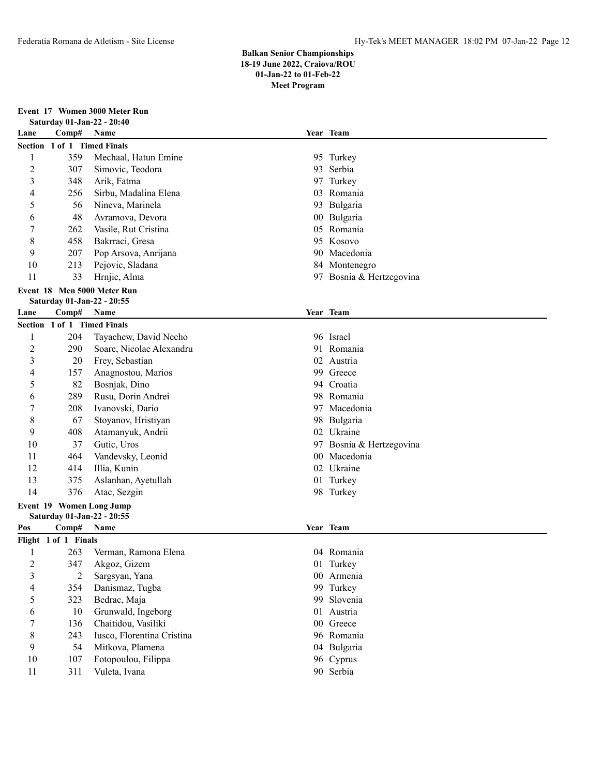## **Event 17 Women 3000 Meter Run**

|      | Saturday 01-Jan-22 - 20:40  |                             |    |                          |  |
|------|-----------------------------|-----------------------------|----|--------------------------|--|
| Lane | Comp#                       | Name                        |    | Year Team                |  |
|      | Section 1 of 1 Timed Finals |                             |    |                          |  |
| 1    | 359                         | Mechaal, Hatun Emine        |    | 95 Turkey                |  |
| 2    | 307                         | Simovic, Teodora            |    | 93 Serbia                |  |
| 3    | 348                         | Arik, Fatma                 |    | 97 Turkey                |  |
| 4    | 256                         | Sirbu, Madalina Elena       | 03 | Romania                  |  |
| 5    | 56                          | Nineva, Marinela            |    | 93 Bulgaria              |  |
| 6    | 48                          | Avramova, Devora            |    | 00 Bulgaria              |  |
| 7    | 262                         | Vasile, Rut Cristina        |    | 05 Romania               |  |
| 8    | 458                         | Bakrraci, Gresa             |    | 95 Kosovo                |  |
| 9    | 207                         | Pop Arsova, Anrijana        |    | 90 Macedonia             |  |
| 10   | 213                         | Pejovic, Sladana            |    | 84 Montenegro            |  |
| 11   | 33                          | Hrnjic, Alma                |    | 97 Bosnia & Hertzegovina |  |
|      |                             | Event 18 Men 5000 Meter Run |    |                          |  |
|      | Saturday 01-Jan-22 - 20:55  |                             |    |                          |  |
| Lane | Comp#                       | Name                        |    | Year Team                |  |
|      | Section 1 of 1 Timed Finals |                             |    |                          |  |
| 1    | 204                         | Tayachew, David Necho       |    | 96 Israel                |  |
| 2    | 290                         | Soare, Nicolae Alexandru    |    | 91 Romania               |  |
| 3    | 20                          | Frey, Sebastian             | 02 | Austria                  |  |
| 4    | 157                         | Anagnostou, Marios          | 99 | Greece                   |  |
| 5    | 82                          | Bosnjak, Dino               | 94 | Croatia                  |  |
| 6    | 289                         | Rusu, Dorin Andrei          |    | 98 Romania               |  |
| 7    | 208                         | Ivanovski, Dario            |    | 97 Macedonia             |  |
| 8    | 67                          | Stoyanov, Hristiyan         |    | 98 Bulgaria              |  |
| 9    | 408                         | Atamanyuk, Andrii           |    | 02 Ukraine               |  |
| 10   | 37                          | Gutic, Uros                 |    | 97 Bosnia & Hertzegovina |  |
| 11   | 464                         | Vandevsky, Leonid           |    | 00 Macedonia             |  |
| 12   | 414                         | Illia, Kunin                |    | 02 Ukraine               |  |
| 13   | 375                         | Aslanhan, Ayetullah         |    | 01 Turkey                |  |
| 14   | 376                         | Atac, Sezgin                |    | 98 Turkey                |  |
|      |                             | Event 19 Women Long Jump    |    |                          |  |
|      | Saturday 01-Jan-22 - 20:55  |                             |    |                          |  |
| Pos  | Comp#                       | Name                        |    | Year Team                |  |
| 1    | Flight 1 of 1 Finals<br>263 | Verman, Ramona Elena        |    | 04 Romania               |  |
| 2    | 347                         | Akgoz, Gizem                |    | 01 Turkey                |  |
| 3    | 2                           | Sargsyan, Yana              |    | 00 Armenia               |  |
| 4    | 354                         | Danismaz, Tugba             |    | 99 Turkey                |  |
| 5    | 323                         | Bedrac, Maja                |    | 99 Slovenia              |  |
| 6    | 10                          | Grunwald, Ingeborg          |    | 01 Austria               |  |
| 7    | 136                         | Chaitidou, Vasiliki         |    | 00 Greece                |  |
| 8    | 243                         | Iusco, Florentina Cristina  |    | 96 Romania               |  |
| 9    | 54                          | Mitkova, Plamena            |    | 04 Bulgaria              |  |
| 10   | 107                         | Fotopoulou, Filippa         |    | 96 Cyprus                |  |
| 11   | 311                         | Vuleta, Ivana               |    | 90 Serbia                |  |
|      |                             |                             |    |                          |  |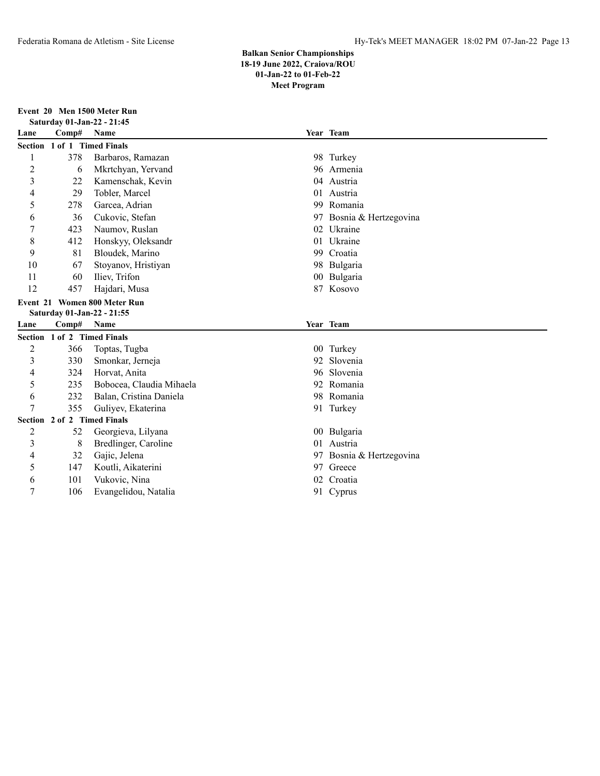**Event 20 Men 1500 Meter Run**

| Saturday 01-Jan-22 - 21:45 |                                       |                              |    |                       |  |
|----------------------------|---------------------------------------|------------------------------|----|-----------------------|--|
| Lane                       | Comp# Name                            |                              |    | Year Team             |  |
|                            |                                       | Section 1 of 1 Timed Finals  |    |                       |  |
| 1                          | 378                                   | Barbaros, Ramazan            |    | 98 Turkey             |  |
| $\overline{c}$             | 6                                     | Mkrtchyan, Yervand           |    | 96 Armenia            |  |
| 3                          | 22                                    | Kamenschak, Kevin            | 04 | Austria               |  |
| 4                          | 29                                    | Tobler, Marcel               | 01 | Austria               |  |
| 5                          | 278                                   | Garcea, Adrian               | 99 | Romania               |  |
| 6                          | 36                                    | Cukovic, Stefan              | 97 | Bosnia & Hertzegovina |  |
| 7                          | 423                                   | Naumov, Ruslan               | 02 | Ukraine               |  |
| 8                          | 412                                   | Honskyy, Oleksandr           | 01 | Ukraine               |  |
| 9                          | 81                                    | Bloudek, Marino              | 99 | Croatia               |  |
| 10                         | 67                                    | Stoyanov, Hristiyan          | 98 | Bulgaria              |  |
| 11                         | 60                                    | Iliev, Trifon                |    | 00 Bulgaria           |  |
| 12                         | 457                                   | Hajdari, Musa                |    | 87 Kosovo             |  |
|                            |                                       | Event 21 Women 800 Meter Run |    |                       |  |
|                            |                                       | Saturday 01-Jan-22 - 21:55   |    |                       |  |
| Lane                       | Comp#                                 | Name                         |    | Year Team             |  |
|                            |                                       | Section 1 of 2 Timed Finals  |    |                       |  |
| 2                          | 366                                   | Toptas, Tugba                |    | 00 Turkey             |  |
| 3                          | 330                                   | Smonkar, Jerneja             | 92 | Slovenia              |  |
| 4                          | 324                                   | Horvat, Anita                | 96 | Slovenia              |  |
| 5                          | 235                                   | Bobocea, Claudia Mihaela     | 92 | Romania               |  |
| 6                          | 232                                   | Balan, Cristina Daniela      | 98 | Romania               |  |
| 7                          | 355                                   | Guliyev, Ekaterina           | 91 | Turkey                |  |
|                            | <b>Timed Finals</b><br>Section 2 of 2 |                              |    |                       |  |
| $\overline{c}$             | 52                                    | Georgieva, Lilyana           |    | 00 Bulgaria           |  |
| 3                          | 8                                     | Bredlinger, Caroline         | 01 | Austria               |  |
| 4                          | 32                                    | Gajic, Jelena                | 97 | Bosnia & Hertzegovina |  |
| 5                          | 147                                   | Koutli, Aikaterini           |    | 97 Greece             |  |
| 6                          | 101                                   | Vukovic, Nina                | 02 | Croatia               |  |
|                            |                                       |                              |    |                       |  |
| 7                          | 106                                   | Evangelidou, Natalia         |    | 91 Cyprus             |  |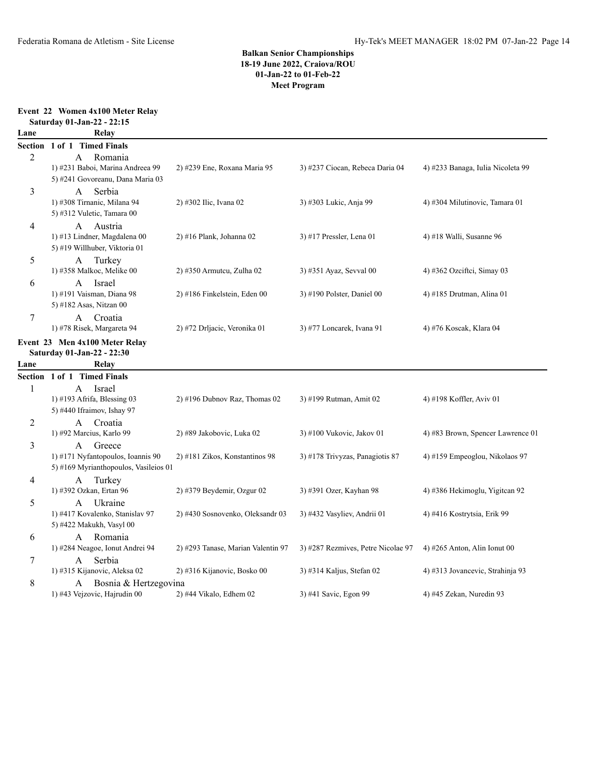#### **Event 22 Women 4x100 Meter Relay**

|        | Saturday 01-Jan-22 - 22:15                                                                |                                                                   |                                                                 |                                                                  |
|--------|-------------------------------------------------------------------------------------------|-------------------------------------------------------------------|-----------------------------------------------------------------|------------------------------------------------------------------|
| Lane   | Relay                                                                                     |                                                                   |                                                                 |                                                                  |
|        | Section 1 of 1 Timed Finals                                                               |                                                                   |                                                                 |                                                                  |
| 2      | Romania<br>A<br>1) #231 Baboi, Marina Andreea 99<br>5) #241 Govoreanu, Dana Maria 03      | 2) #239 Ene, Roxana Maria 95                                      | 3) #237 Ciocan, Rebeca Daria 04                                 | 4) #233 Banaga, Iulia Nicoleta 99                                |
| 3      | Serbia<br>A<br>1) #308 Tirnanic, Milana 94<br>5) #312 Vuletic, Tamara 00                  | 2) #302 Ilic, Ivana 02                                            | 3) #303 Lukic, Anja 99                                          | 4) #304 Milutinovic, Tamara 01                                   |
| 4      | Austria<br>A<br>1) #13 Lindner, Magdalena 00<br>5) #19 Willhuber, Viktoria 01             | 2) #16 Plank, Johanna 02                                          | 3) #17 Pressler, Lena 01                                        | 4) #18 Walli, Susanne 96                                         |
| 5      | Turkey<br>A<br>1) #358 Malkoc, Melike 00                                                  | 2) #350 Armuteu, Zulha 02                                         | 3) #351 Ayaz, Sevval 00                                         | 4) #362 Ozciftci, Simay 03                                       |
| 6      | Israel<br>A<br>1) #191 Vaisman, Diana 98<br>5) #182 Asas, Nitzan 00                       | 2) #186 Finkelstein, Eden 00                                      | 3) #190 Polster, Daniel 00                                      | 4) #185 Drutman, Alina 01                                        |
| $\tau$ | Croatia<br>A<br>1) #78 Risek, Margareta 94                                                | 2) #72 Drljacic, Veronika 01                                      | 3) #77 Loncarek, Ivana 91                                       | 4) #76 Koscak, Klara 04                                          |
|        | Event 23 Men 4x100 Meter Relay<br>Saturday 01-Jan-22 - 22:30                              |                                                                   |                                                                 |                                                                  |
| Lane   | Relay                                                                                     |                                                                   |                                                                 |                                                                  |
|        | Section 1 of 1 Timed Finals                                                               |                                                                   |                                                                 |                                                                  |
| 1      | Israel<br>A<br>1) #193 Afrifa, Blessing 03<br>5) #440 Ifraimov, Ishay 97                  | 2) #196 Dubnov Raz, Thomas 02                                     | 3) #199 Rutman, Amit 02                                         | 4) #198 Koffler, Aviv 01                                         |
| 2      | Croatia<br>A<br>1) #92 Marcius, Karlo 99                                                  | 2) #89 Jakobovic, Luka 02                                         | 3) #100 Vukovic, Jakov 01                                       | 4) #83 Brown, Spencer Lawrence 01                                |
| 3      | Greece<br>A<br>1) #171 Nyfantopoulos, Ioannis 90<br>5) #169 Myrianthopoulos, Vasileios 01 | 2) #181 Zikos, Konstantinos 98                                    | 3) #178 Trivyzas, Panagiotis 87                                 | 4) #159 Empeoglou, Nikolaos 97                                   |
| 4      | Turkey<br>A<br>1) #392 Ozkan, Ertan 96                                                    | $2)$ #379 Beydemir, Ozgur 02                                      | 3) #391 Ozer, Kayhan 98                                         | 4) #386 Hekimoglu, Yigitcan 92                                   |
| 5      | Ukraine<br>A<br>1) #417 Kovalenko, Stanislav 97<br>5) #422 Makukh, Vasyl 00               | 2) #430 Sosnovenko, Oleksandr 03                                  | 3) #432 Vasyliev, Andrii 01                                     | 4) #416 Kostrytsia, Erik 99                                      |
| 6      | Romania<br>A<br>1) #284 Neagoe, Ionut Andrei 94                                           |                                                                   |                                                                 |                                                                  |
| 7      | Serbia<br>A<br>1) #315 Kijanovic, Aleksa 02                                               | 2) #293 Tanase, Marian Valentin 97<br>2) #316 Kijanovic, Bosko 00 | 3) #287 Rezmives, Petre Nicolae 97<br>3) #314 Kaljus, Stefan 02 | 4) #265 Anton, Alin Ionut 00<br>4) #313 Jovancevic, Strahinja 93 |
| 8      | Bosnia & Hertzegovina<br>A<br>1) #43 Vejzovic, Hajrudin 00                                | 2) #44 Vikalo, Edhem 02                                           | 3) #41 Savic, Egon 99                                           | 4) #45 Zekan, Nuredin 93                                         |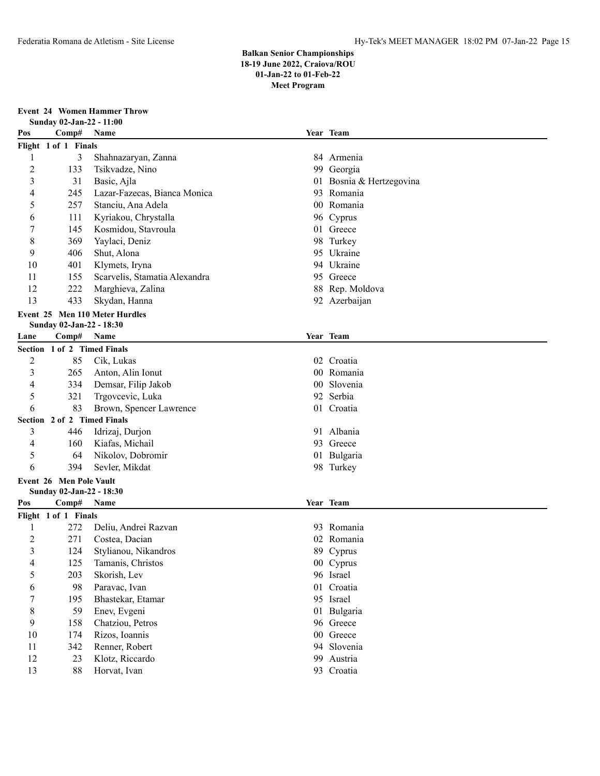**Event 24 Women Hammer Throw Sunday 02-Jan-22 - 11:00**

| Pos  | Sunuay 02-Jan-22 - 11:00<br>Year Team |                                    |    |                          |  |  |
|------|---------------------------------------|------------------------------------|----|--------------------------|--|--|
|      | Comp#                                 | Name                               |    |                          |  |  |
|      | Flight 1 of 1 Finals<br>84 Armenia    |                                    |    |                          |  |  |
| 1    | 3                                     | Shahnazaryan, Zanna                |    |                          |  |  |
| 2    | 133                                   | Tsikvadze, Nino                    |    | 99 Georgia               |  |  |
| 3    | 31                                    | Basic, Ajla                        |    | 01 Bosnia & Hertzegovina |  |  |
| 4    | 245                                   | Lazar-Fazecas, Bianca Monica       |    | 93 Romania               |  |  |
| 5    | 257                                   | Stanciu, Ana Adela                 |    | 00 Romania               |  |  |
| 6    | 111                                   | Kyriakou, Chrystalla               |    | 96 Cyprus                |  |  |
| 7    | 145                                   | Kosmidou, Stavroula                |    | 01 Greece                |  |  |
| 8    | 369                                   | Yaylaci, Deniz                     |    | 98 Turkey                |  |  |
| 9    | 406                                   | Shut, Alona                        |    | 95 Ukraine               |  |  |
| 10   | 401                                   | Klymets, Iryna                     |    | 94 Ukraine               |  |  |
| 11   | 155                                   | Scarvelis, Stamatia Alexandra      |    | 95 Greece                |  |  |
| 12   | 222                                   | Marghieva, Zalina                  |    | 88 Rep. Moldova          |  |  |
| 13   | 433                                   | Skydan, Hanna                      |    | 92 Azerbaijan            |  |  |
|      |                                       | Event 25 Men 110 Meter Hurdles     |    |                          |  |  |
|      | Sunday 02-Jan-22 - 18:30              |                                    |    |                          |  |  |
| Lane | Comp#                                 | Name                               |    | Year Team                |  |  |
|      | Section 1 of 2 Timed Finals           |                                    |    |                          |  |  |
| 2    | 85                                    | Cik, Lukas                         |    | 02 Croatia               |  |  |
| 3    | 265                                   | Anton, Alin Ionut                  |    | 00 Romania               |  |  |
| 4    | 334                                   | Demsar, Filip Jakob                |    | 00 Slovenia              |  |  |
| 5    | 321                                   | Trgovcevic, Luka                   |    | 92 Serbia                |  |  |
| 6    | 83                                    | Brown, Spencer Lawrence            |    | 01 Croatia               |  |  |
|      | Section 2 of 2 Timed Finals           |                                    |    |                          |  |  |
| 3    | 446                                   | Idrizaj, Durjon                    |    | 91 Albania               |  |  |
| 4    | 160                                   | Kiafas, Michail                    |    | 93 Greece                |  |  |
| 5    | 64                                    | Nikolov, Dobromir                  |    | 01 Bulgaria              |  |  |
| 6    | 394                                   | Sevler, Mikdat                     |    | 98 Turkey                |  |  |
|      | <b>Event 26 Men Pole Vault</b>        |                                    |    |                          |  |  |
|      | Sunday 02-Jan-22 - 18:30              |                                    |    |                          |  |  |
| Pos  | Comp# Name                            |                                    |    | Year Team                |  |  |
|      | Flight 1 of 1 Finals                  |                                    |    |                          |  |  |
| 1    | 272                                   | Deliu, Andrei Razvan               |    | 93 Romania               |  |  |
| 2    | 271                                   | Costea, Dacian                     |    | 02 Romania               |  |  |
| 3    | 124                                   | Stylianou, Nikandros               |    | 89 Cyprus                |  |  |
| 4    | 125                                   | Tamanis, Christos                  |    | 00 Cyprus                |  |  |
| 5    | 203                                   | Skorish, Lev                       |    | 96 Israel                |  |  |
|      |                                       |                                    |    | 01 Croatia               |  |  |
| 6    | 98<br>195                             | Paravac, Ivan<br>Bhastekar, Etamar |    | 95 Israel                |  |  |
| 7    |                                       |                                    |    |                          |  |  |
| 8    | 59                                    | Enev, Evgeni                       |    | 01 Bulgaria              |  |  |
| 9    | 158                                   | Chatziou, Petros                   |    | 96 Greece                |  |  |
| 10   | 174                                   | Rizos, Ioannis                     |    | 00 Greece                |  |  |
| 11   | 342                                   | Renner, Robert                     |    | 94 Slovenia              |  |  |
| 12   | 23                                    | Klotz, Riccardo                    | 99 | Austria                  |  |  |
| 13   | 88                                    | Horvat, Ivan                       |    | 93 Croatia               |  |  |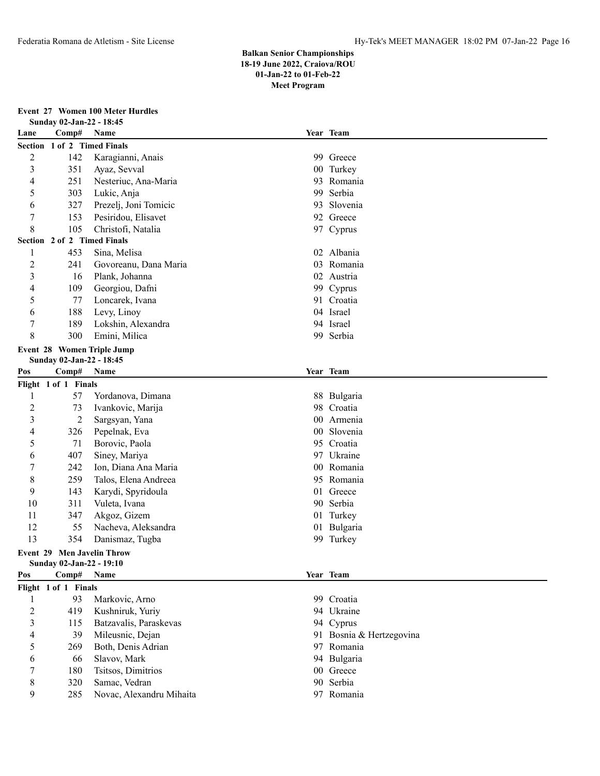#### **Event 27 Women 100 Meter Hurdles**

|                | Sunday 02-Jan-22 - 18:45          |                            |                 |                          |  |
|----------------|-----------------------------------|----------------------------|-----------------|--------------------------|--|
| Lane           | Comp#                             | Name                       |                 | Year Team                |  |
|                | Section 1 of 2 Timed Finals       |                            |                 |                          |  |
| $\overline{c}$ | 142                               | Karagianni, Anais          |                 | 99 Greece                |  |
| 3              | 351                               | Ayaz, Sevval               |                 | 00 Turkey                |  |
| 4              | 251                               | Nesteriuc, Ana-Maria       | 93              | Romania                  |  |
| 5              | 303                               | Lukic, Anja                | 99              | Serbia                   |  |
| 6              | 327                               | Prezelj, Joni Tomicic      | 93              | Slovenia                 |  |
| $\overline{7}$ | 153                               | Pesiridou, Elisavet        |                 | 92 Greece                |  |
| 8              | 105                               | Christofi, Natalia         |                 | 97 Cyprus                |  |
|                | Section 2 of 2 Timed Finals       |                            |                 |                          |  |
| 1              | 453                               | Sina, Melisa               |                 | 02 Albania               |  |
| $\overline{c}$ | 241                               | Govoreanu, Dana Maria      |                 | 03 Romania               |  |
| 3              | 16                                | Plank, Johanna             |                 | 02 Austria               |  |
| 4              | 109                               | Georgiou, Dafni            |                 | 99 Cyprus                |  |
| 5              | 77                                | Loncarek, Ivana            |                 | 91 Croatia               |  |
| 6              | 188                               | Levy, Linoy                |                 | 04 Israel                |  |
| $\overline{7}$ | 189                               | Lokshin, Alexandra         |                 | 94 Israel                |  |
| 8              | 300                               | Emini, Milica              |                 | 99 Serbia                |  |
|                |                                   | Event 28 Women Triple Jump |                 |                          |  |
|                | Sunday 02-Jan-22 - 18:45          |                            |                 |                          |  |
| Pos            | Comp#                             | Name                       |                 | Year Team                |  |
|                | Flight 1 of 1 Finals              |                            |                 |                          |  |
| 1              | 57                                | Yordanova, Dimana          |                 | 88 Bulgaria              |  |
| $\overline{2}$ | 73                                | Ivankovic, Marija          |                 | 98 Croatia               |  |
| 3              | 2                                 | Sargsyan, Yana             | $00\,$          | Armenia                  |  |
| 4              | 326                               | Pepelnak, Eva              | 00 <sup>°</sup> | Slovenia                 |  |
| 5              | 71                                | Borovic, Paola             |                 | 95 Croatia               |  |
| 6              | 407                               | Siney, Mariya              |                 | 97 Ukraine               |  |
| 7              | 242                               | Ion, Diana Ana Maria       | 00              | Romania                  |  |
| 8              | 259                               | Talos, Elena Andreea       |                 | 95 Romania               |  |
| 9              | 143                               | Karydi, Spyridoula         |                 | 01 Greece                |  |
| 10             | 311                               | Vuleta, Ivana              |                 | 90 Serbia                |  |
| 11             | 347                               | Akgoz, Gizem               |                 | 01 Turkey                |  |
| 12             | 55                                | Nacheva, Aleksandra        | 01              | Bulgaria                 |  |
| 13             | 354                               | Danismaz, Tugba            |                 | 99 Turkey                |  |
|                | <b>Event 29 Men Javelin Throw</b> |                            |                 |                          |  |
|                | Sunday 02-Jan-22 - 19:10          |                            |                 |                          |  |
| Pos            | Comp#                             | Name                       |                 | Year Team                |  |
|                | Flight 1 of 1 Finals              |                            |                 |                          |  |
| 1              | 93                                | Markovic, Arno             |                 | 99 Croatia               |  |
| $\overline{c}$ | 419                               | Kushniruk, Yuriy           |                 | 94 Ukraine               |  |
| 3              | 115                               | Batzavalis, Paraskevas     |                 | 94 Cyprus                |  |
| 4              | 39                                | Mileusnic, Dejan           |                 | 91 Bosnia & Hertzegovina |  |
| 5              | 269                               | Both, Denis Adrian         |                 | 97 Romania               |  |
| 6              | 66                                | Slavov, Mark               |                 | 94 Bulgaria              |  |
| 7              | 180                               | Tsitsos, Dimitrios         |                 | 00 Greece                |  |
| 8              | 320                               | Samac, Vedran              |                 | 90 Serbia                |  |
| 9              | 285                               | Novac, Alexandru Mihaita   |                 | 97 Romania               |  |
|                |                                   |                            |                 |                          |  |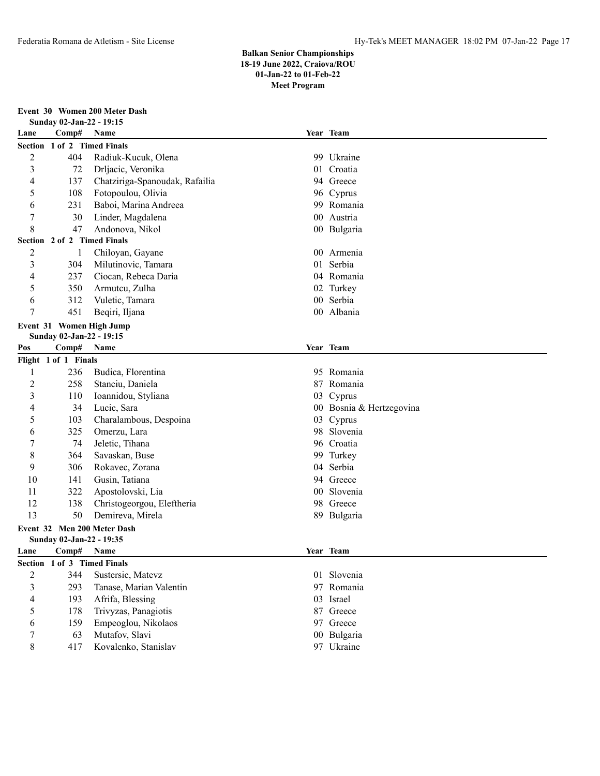**Event 30 Women 200 Meter Dash Sunday 02-Jan-22 - 19:15 Lane Comp# Name Year Team Section 1 of 2 Timed Finals** 404 Radiuk-Kucuk, Olena 99 Ukraine 72 Drljacic, Veronika 01 Croatia 137 Chatziriga-Spanoudak, Rafailia 94 Greece 108 Fotopoulou, Olivia 96 Cyprus 231 Baboi, Marina Andreea 99 Romania 30 Linder, Magdalena 00 Austria 47 Andonova, Nikol 00 Bulgaria **Section 2 of 2 Timed Finals** 1 Chiloyan, Gayane 00 Armenia 304 Milutinovic, Tamara 01 Serbia 237 Ciocan, Rebeca Daria 04 Romania 350 Armutcu, Zulha 02 Turkey 312 Vuletic, Tamara 00 Serbia 451 Beqiri, Iljana 00 Albania **Event 31 Women High Jump Sunday 02-Jan-22 - 19:15 Pos Comp# Name Year Team Flight 1 of 1 Finals** 236 Budica, Florentina 95 Romania 258 Stanciu, Daniela 87 Romania 110 Ioannidou, Styliana 03 Cyprus 34 Lucic, Sara 00 Bosnia & Hertzegovina 103 Charalambous, Despoina 03 Cyprus 325 Omerzu, Lara 98 Slovenia 74 Jeletic, Tihana 96 Croatia 364 Savaskan, Buse 99 Turkey 306 Rokavec, Zorana 04 Serbia 141 Gusin, Tatiana 94 Greece 322 Apostolovski, Lia 00 Slovenia 138 Christogeorgou, Eleftheria 98 Greece 13 50 Demireva, Mirela 89 Bulgaria **Event 32 Men 200 Meter Dash Sunday 02-Jan-22 - 19:35 Lane Comp# Name Year Team Section 1 of 3 Timed Finals** 344 Sustersic, Matevz 01 Slovenia 293 Tanase, Marian Valentin 97 Romania 193 Afrifa, Blessing 03 Israel 178 Trivyzas, Panagiotis 87 Greece 159 Empeoglou, Nikolaos 97 Greece 63 Mutafov, Slavi 00 Bulgaria

8 417 Kovalenko, Stanislav 97 Ukraine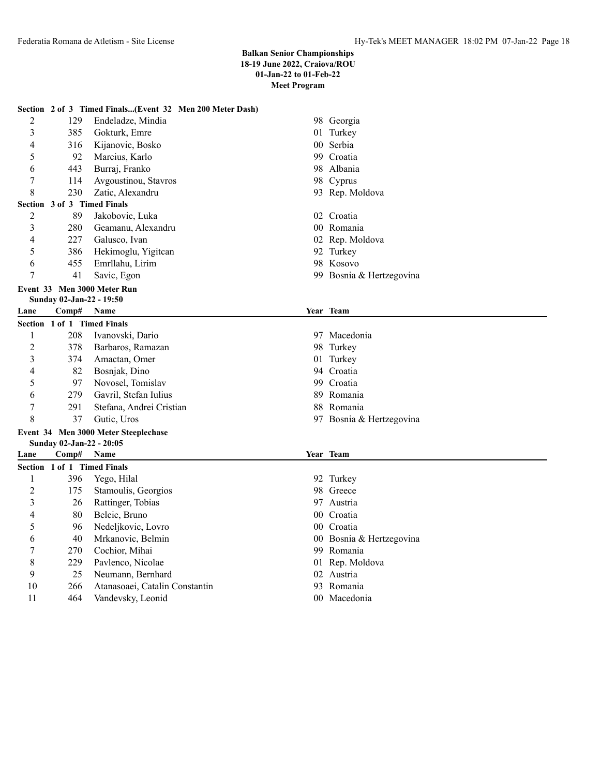|      |                             | Section 2 of 3 Timed Finals(Event 32 Men 200 Meter Dash) |    |                          |
|------|-----------------------------|----------------------------------------------------------|----|--------------------------|
| 2    | 129                         | Endeladze, Mindia                                        |    | 98 Georgia               |
| 3    | 385                         | Gokturk, Emre                                            |    | 01 Turkey                |
| 4    | 316                         | Kijanovic, Bosko                                         |    | 00 Serbia                |
| 5    | 92                          | Marcius, Karlo                                           |    | 99 Croatia               |
| 6    | 443                         | Burraj, Franko                                           |    | 98 Albania               |
| 7    | 114                         | Avgoustinou, Stavros                                     |    | 98 Cyprus                |
| 8    | 230                         | Zatic, Alexandru                                         |    | 93 Rep. Moldova          |
|      | Section 3 of 3 Timed Finals |                                                          |    |                          |
| 2    | 89                          | Jakobovic, Luka                                          |    | 02 Croatia               |
| 3    | 280                         | Geamanu, Alexandru                                       |    | 00 Romania               |
| 4    | 227                         | Galusco, Ivan                                            |    | 02 Rep. Moldova          |
| 5    | 386                         | Hekimoglu, Yigitcan                                      |    | 92 Turkey                |
| 6    | 455                         | Emrllahu, Lirim                                          |    | 98 Kosovo                |
| 7    | 41                          | Savic, Egon                                              |    | 99 Bosnia & Hertzegovina |
|      |                             | Event 33 Men 3000 Meter Run                              |    |                          |
|      | Sunday 02-Jan-22 - 19:50    |                                                          |    |                          |
| Lane | Comp#                       | <b>Name</b>                                              |    | Year Team                |
|      | Section 1 of 1 Timed Finals |                                                          |    |                          |
| 1    | 208                         | Ivanovski, Dario                                         |    | 97 Macedonia             |
| 2    | 378                         | Barbaros, Ramazan                                        |    | 98 Turkey                |
| 3    | 374                         | Amactan, Omer                                            |    | 01 Turkey                |
| 4    | 82                          | Bosnjak, Dino                                            |    | 94 Croatia               |
| 5    | 97                          | Novosel, Tomislav                                        |    | 99 Croatia               |
| 6    | 279                         | Gavril, Stefan Iulius                                    |    | 89 Romania               |
| 7    | 291                         | Stefana, Andrei Cristian                                 |    | 88 Romania               |
| 8    | 37                          | Gutic, Uros                                              |    | 97 Bosnia & Hertzegovina |
|      |                             | Event 34 Men 3000 Meter Steeplechase                     |    |                          |
|      | Sunday 02-Jan-22 - 20:05    |                                                          |    |                          |
| Lane | Comp#                       | Name                                                     |    | Year Team                |
|      | Section 1 of 1 Timed Finals |                                                          |    |                          |
| 1    | 396                         | Yego, Hilal                                              |    | 92 Turkey                |
| 2    | 175                         | Stamoulis, Georgios                                      |    | 98 Greece                |
| 3    | 26                          | Rattinger, Tobias                                        |    | 97 Austria               |
| 4    | 80                          | Belcic, Bruno                                            |    | 00 Croatia               |
| 5    | 96                          | Nedeljkovic, Lovro                                       |    | 00 Croatia               |
| 6    | 40                          | Mrkanovic, Belmin                                        |    | 00 Bosnia & Hertzegovina |
| 7    | 270                         | Cochior, Mihai                                           |    | 99 Romania               |
| 8    | 229                         | Pavlenco, Nicolae                                        |    | 01 Rep. Moldova          |
| 9    | 25                          | Neumann, Bernhard                                        |    | 02 Austria               |
| 10   | 266                         | Atanasoaei, Catalin Constantin                           | 93 | Romania                  |
| 11   | 464                         | Vandevsky, Leonid                                        |    | 00 Macedonia             |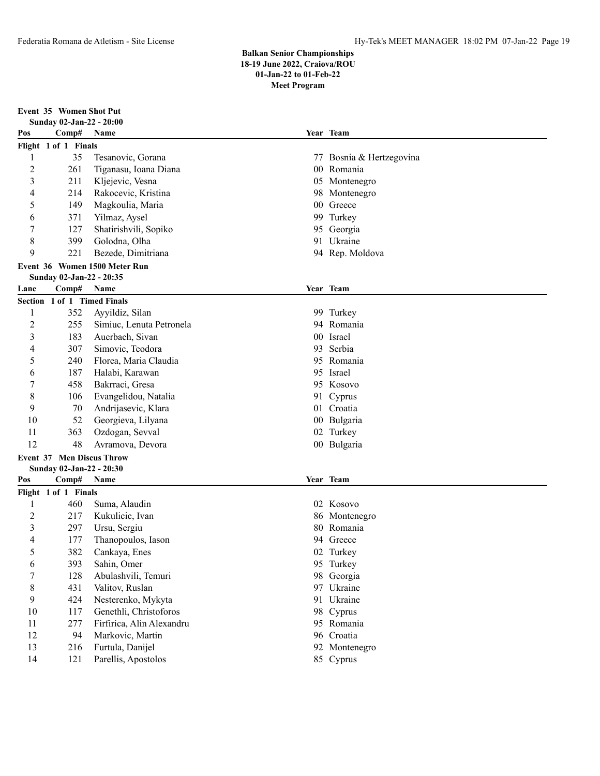**Event 35 Women Shot Put Sunday 02-Jan-22 - 20:00 Pos Comp# Name Year Team Flight 1 of 1 Finals** 35 Tesanovic, Gorana 77 Bosnia & Hertzegovina 261 Tiganasu, Ioana Diana 00 Romania 211 Kljejevic, Vesna 05 Montenegro 214 Rakocevic, Kristina 98 Montenegro 149 Magkoulia, Maria 00 Greece 371 Yilmaz, Aysel 99 Turkey 127 Shatirishvili, Sopiko 95 Georgia 399 Golodna, Olha 91 Ukraine 221 Bezede, Dimitriana 94 Rep. Moldova **Event 36 Women 1500 Meter Run Sunday 02-Jan-22 - 20:35 Lane Comp# Name Year Team Section 1 of 1 Timed Finals** 352 Ayyildiz, Silan 99 Turkey 255 Simiuc, Lenuta Petronela 94 Romania 183 Auerbach, Sivan 00 Israel 307 Simovic, Teodora 93 Serbia 240 Florea, Maria Claudia 95 Romania 187 Halabi, Karawan 95 Israel 458 Bakrraci, Gresa 95 Kosovo 106 Evangelidou, Natalia 91 Cyprus 70 Andrijasevic, Klara 01 Croatia 52 Georgieva, Lilyana 00 Bulgaria 363 Ozdogan, Sevval 02 Turkey 48 Avramova, Devora 00 Bulgaria **Event 37 Men Discus Throw Sunday 02-Jan-22 - 20:30 Pos Comp# Name Year Team Flight 1 of 1 Finals** 460 Suma, Alaudin 02 Kosovo 2 217 Kukulicic, Ivan 1986 Montenegro 297 Ursu, Sergiu 80 Romania 177 Thanopoulos, Iason 94 Greece 382 Cankaya, Enes 02 Turkey 393 Sahin, Omer 95 Turkey 128 Abulashvili, Temuri 98 Georgia 431 Valitov, Ruslan 97 Ukraine 424 Nesterenko, Mykyta 91 Ukraine 117 Genethli, Christoforos 98 Cyprus 277 Firfirica, Alin Alexandru 95 Romania 94 Markovic, Martin 96 Croatia 216 Furtula, Danijel 92 Montenegro 121 Parellis, Apostolos 85 Cyprus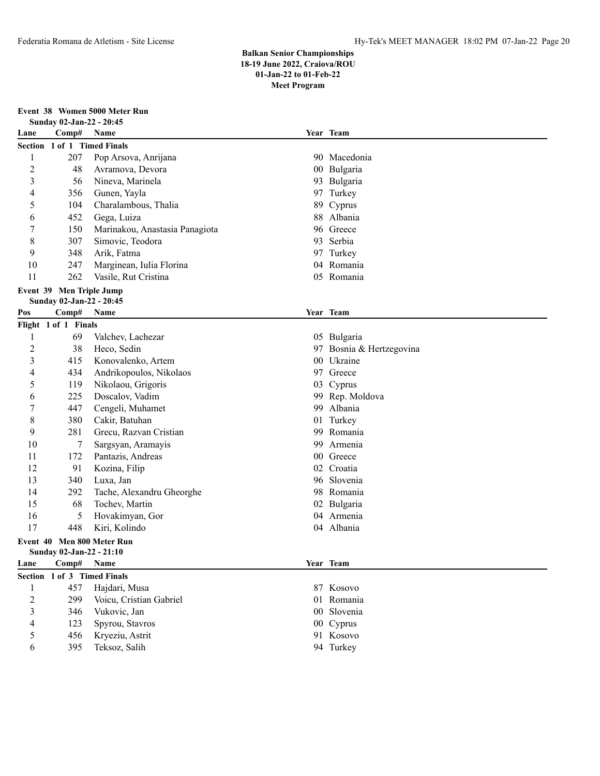**Event 38 Women 5000 Meter Run**

|                | Sunday 02-Jan-22 - 20:45    |                                |    |                          |  |
|----------------|-----------------------------|--------------------------------|----|--------------------------|--|
| Lane           | Comp#                       | Name                           |    | Year Team                |  |
|                | Section 1 of 1 Timed Finals |                                |    |                          |  |
| 1              | 207                         | Pop Arsova, Anrijana           |    | 90 Macedonia             |  |
| 2              | 48                          | Avramova, Devora               |    | 00 Bulgaria              |  |
| 3              | 56                          | Nineva, Marinela               |    | 93 Bulgaria              |  |
| 4              | 356                         | Gunen, Yayla                   |    | 97 Turkey                |  |
| 5              | 104                         | Charalambous, Thalia           |    | 89 Cyprus                |  |
| 6              | 452                         | Gega, Luiza                    |    | 88 Albania               |  |
| 7              | 150                         | Marinakou, Anastasia Panagiota |    | 96 Greece                |  |
| 8              | 307                         | Simovic, Teodora               |    | 93 Serbia                |  |
| 9              | 348                         | Arik, Fatma                    |    | 97 Turkey                |  |
| 10             | 247                         | Marginean, Iulia Florina       |    | 04 Romania               |  |
| 11             | 262                         | Vasile, Rut Cristina           |    | 05 Romania               |  |
|                | Event 39 Men Triple Jump    |                                |    |                          |  |
|                | Sunday 02-Jan-22 - 20:45    |                                |    |                          |  |
| Pos            | Comp#                       | Name                           |    | Year Team                |  |
|                | Flight 1 of 1 Finals        |                                |    |                          |  |
| 1              | 69                          | Valchev, Lachezar              |    | 05 Bulgaria              |  |
| $\overline{2}$ | 38                          | Heco, Sedin                    |    | 97 Bosnia & Hertzegovina |  |
| 3              | 415                         | Konovalenko, Artem             |    | 00 Ukraine               |  |
| 4              | 434                         | Andrikopoulos, Nikolaos        |    | 97 Greece                |  |
| 5              | 119                         | Nikolaou, Grigoris             |    | 03 Cyprus                |  |
| 6              | 225                         | Doscalov, Vadim                |    | 99 Rep. Moldova          |  |
| 7              | 447                         | Cengeli, Muhamet               |    | 99 Albania               |  |
| 8              | 380                         | Cakir, Batuhan                 |    | 01 Turkey                |  |
| 9              | 281                         | Grecu, Razvan Cristian         |    | 99 Romania               |  |
| 10             | 7                           | Sargsyan, Aramayis             | 99 | Armenia                  |  |
| 11             | 172                         | Pantazis, Andreas              |    | 00 Greece                |  |
| 12             | 91                          | Kozina, Filip                  |    | 02 Croatia               |  |
| 13             | 340                         | Luxa, Jan                      |    | 96 Slovenia              |  |
| 14             | 292                         | Tache, Alexandru Gheorghe      |    | 98 Romania               |  |
| 15             | 68                          | Tochev, Martin                 |    | 02 Bulgaria              |  |
| 16             | 5                           | Hovakimyan, Gor                |    | 04 Armenia               |  |
| 17             | 448                         | Kiri, Kolindo                  |    | 04 Albania               |  |
|                |                             | Event 40 Men 800 Meter Run     |    |                          |  |
|                | Sunday 02-Jan-22 - 21:10    |                                |    |                          |  |
| Lane           | Comp#                       | Name                           |    | Year Team                |  |
|                | Section 1 of 3 Timed Finals |                                |    |                          |  |
| 1              | 457                         | Hajdari, Musa                  |    | 87 Kosovo                |  |
| $\overline{c}$ | 299                         | Voicu, Cristian Gabriel        |    | 01 Romania               |  |
| 3              | 346                         | Vukovic, Jan                   |    | 00 Slovenia              |  |
| 4              | 123                         | Spyrou, Stavros                |    | 00 Cyprus                |  |
| 5              | 456                         | Kryeziu, Astrit                |    | 91 Kosovo                |  |
| 6              | 395                         | Teksoz, Salih                  |    | 94 Turkey                |  |